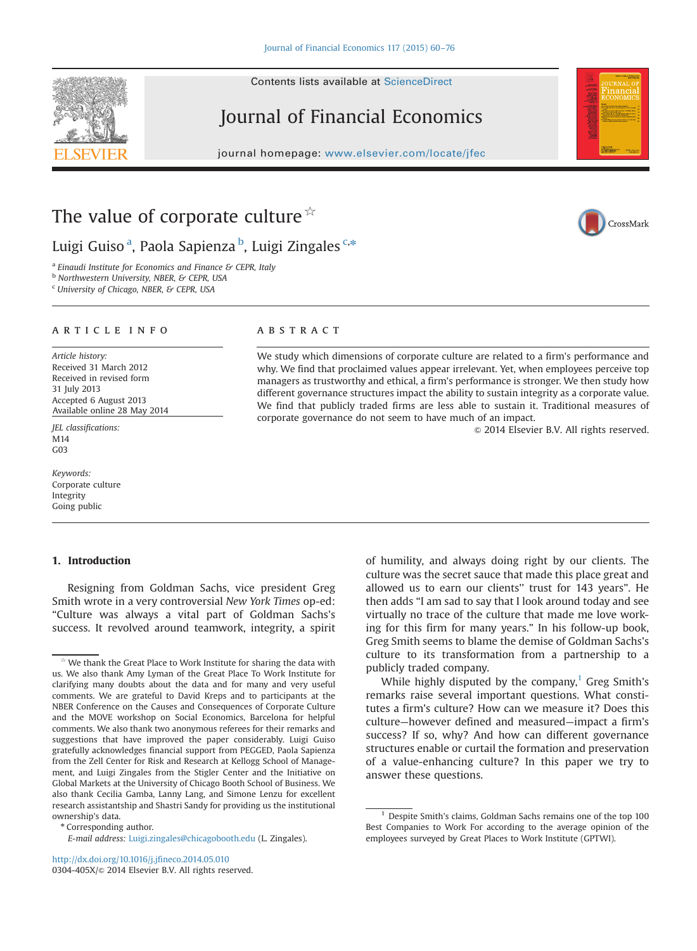# Journal of Financial Economics

journal homepage: <www.elsevier.com/locate/jfec>





CrossMark

# The value of corporate culture  $\dot{x}$

Luigi Guiso<sup>a</sup>, Paola Sapienza <sup>b</sup>, Luigi Zingales S<sup>,\*</sup>

<sup>a</sup> Einaudi Institute for Economics and Finance & CEPR, Italy

**b Northwestern University, NBER, & CEPR, USA** 

<sup>c</sup> University of Chicago, NBER, & CEPR, USA

## article info

Article history: Received 31 March 2012 Received in revised form 31 July 2013 Accepted 6 August 2013 Available online 28 May 2014

JEL classifications: M14 G03

Keywords: Corporate culture Integrity Going public

## 1. Introduction

Resigning from Goldman Sachs, vice president Greg Smith wrote in a very controversial New York Times op-ed: "Culture was always a vital part of Goldman Sachs's success. It revolved around teamwork, integrity, a spirit

E-mail address: [Luigi.zingales@chicagobooth.edu](mailto:Luigi.zingales@chicagobooth.edu) (L. Zingales).

## **ABSTRACT**

We study which dimensions of corporate culture are related to a firm's performance and why. We find that proclaimed values appear irrelevant. Yet, when employees perceive top managers as trustworthy and ethical, a firm's performance is stronger. We then study how different governance structures impact the ability to sustain integrity as a corporate value. We find that publicly traded firms are less able to sustain it. Traditional measures of corporate governance do not seem to have much of an impact.

 $\odot$  2014 Elsevier B.V. All rights reserved.

of humility, and always doing right by our clients. The culture was the secret sauce that made this place great and allowed us to earn our clients'' trust for 143 years". He then adds "I am sad to say that I look around today and see virtually no trace of the culture that made me love working for this firm for many years." In his follow-up book, Greg Smith seems to blame the demise of Goldman Sachs's culture to its transformation from a partnership to a publicly traded company.

While highly disputed by the company, $1$  Greg Smith's remarks raise several important questions. What constitutes a firm's culture? How can we measure it? Does this culture—however defined and measured—impact a firm's success? If so, why? And how can different governance structures enable or curtail the formation and preservation of a value-enhancing culture? In this paper we try to answer these questions.

We thank the Great Place to Work Institute for sharing the data with us. We also thank Amy Lyman of the Great Place To Work Institute for clarifying many doubts about the data and for many and very useful comments. We are grateful to David Kreps and to participants at the NBER Conference on the Causes and Consequences of Corporate Culture and the MOVE workshop on Social Economics, Barcelona for helpful comments. We also thank two anonymous referees for their remarks and suggestions that have improved the paper considerably. Luigi Guiso gratefully acknowledges financial support from PEGGED, Paola Sapienza from the Zell Center for Risk and Research at Kellogg School of Management, and Luigi Zingales from the Stigler Center and the Initiative on Global Markets at the University of Chicago Booth School of Business. We also thank Cecilia Gamba, Lanny Lang, and Simone Lenzu for excellent research assistantship and Shastri Sandy for providing us the institutional ownership's data.

<sup>\*</sup> Corresponding author.

<sup>1</sup> Despite Smith's claims, Goldman Sachs remains one of the top 100 Best Companies to Work For according to the average opinion of the employees surveyed by Great Places to Work Institute (GPTWI).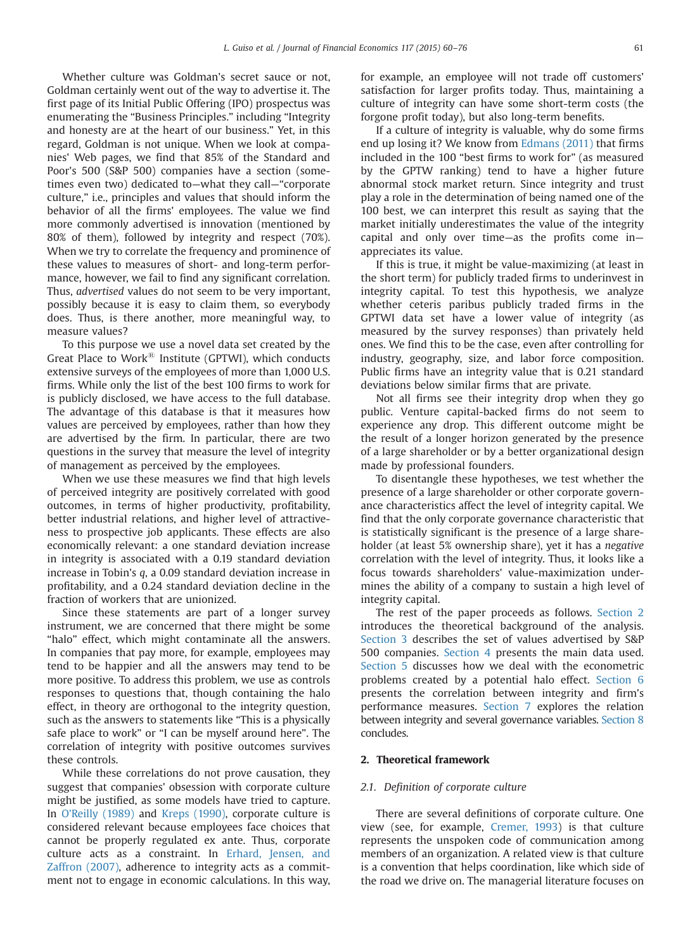Whether culture was Goldman's secret sauce or not, Goldman certainly went out of the way to advertise it. The first page of its Initial Public Offering (IPO) prospectus was enumerating the "Business Principles." including "Integrity and honesty are at the heart of our business." Yet, in this regard, Goldman is not unique. When we look at companies' Web pages, we find that 85% of the Standard and Poor's 500 (S&P 500) companies have a section (sometimes even two) dedicated to—what they call—"corporate culture," i.e., principles and values that should inform the behavior of all the firms' employees. The value we find more commonly advertised is innovation (mentioned by 80% of them), followed by integrity and respect (70%). When we try to correlate the frequency and prominence of these values to measures of short- and long-term performance, however, we fail to find any significant correlation. Thus, advertised values do not seem to be very important, possibly because it is easy to claim them, so everybody does. Thus, is there another, more meaningful way, to measure values?

To this purpose we use a novel data set created by the Great Place to Work $\mathbb{B}$  Institute (GPTWI), which conducts extensive surveys of the employees of more than 1,000 U.S. firms. While only the list of the best 100 firms to work for is publicly disclosed, we have access to the full database. The advantage of this database is that it measures how values are perceived by employees, rather than how they are advertised by the firm. In particular, there are two questions in the survey that measure the level of integrity of management as perceived by the employees.

When we use these measures we find that high levels of perceived integrity are positively correlated with good outcomes, in terms of higher productivity, profitability, better industrial relations, and higher level of attractiveness to prospective job applicants. These effects are also economically relevant: a one standard deviation increase in integrity is associated with a 0.19 standard deviation increase in Tobin's q, a 0.09 standard deviation increase in profitability, and a 0.24 standard deviation decline in the fraction of workers that are unionized.

Since these statements are part of a longer survey instrument, we are concerned that there might be some "halo" effect, which might contaminate all the answers. In companies that pay more, for example, employees may tend to be happier and all the answers may tend to be more positive. To address this problem, we use as controls responses to questions that, though containing the halo effect, in theory are orthogonal to the integrity question, such as the answers to statements like "This is a physically safe place to work" or "I can be myself around here". The correlation of integrity with positive outcomes survives these controls.

While these correlations do not prove causation, they suggest that companies' obsession with corporate culture might be justified, as some models have tried to capture. In [O'Reilly \(1989\)](#page-16-0) and [Kreps \(1990\)](#page-16-0), corporate culture is considered relevant because employees face choices that cannot be properly regulated ex ante. Thus, corporate culture acts as a constraint. In [Erhard, Jensen, and](#page-16-0) [Zaffron \(2007\),](#page-16-0) adherence to integrity acts as a commitment not to engage in economic calculations. In this way,

for example, an employee will not trade off customers' satisfaction for larger profits today. Thus, maintaining a culture of integrity can have some short-term costs (the forgone profit today), but also long-term benefits.

If a culture of integrity is valuable, why do some firms end up losing it? We know from [Edmans \(2011\)](#page-16-0) that firms included in the 100 "best firms to work for" (as measured by the GPTW ranking) tend to have a higher future abnormal stock market return. Since integrity and trust play a role in the determination of being named one of the 100 best, we can interpret this result as saying that the market initially underestimates the value of the integrity capital and only over time—as the profits come in appreciates its value.

If this is true, it might be value-maximizing (at least in the short term) for publicly traded firms to underinvest in integrity capital. To test this hypothesis, we analyze whether ceteris paribus publicly traded firms in the GPTWI data set have a lower value of integrity (as measured by the survey responses) than privately held ones. We find this to be the case, even after controlling for industry, geography, size, and labor force composition. Public firms have an integrity value that is 0.21 standard deviations below similar firms that are private.

Not all firms see their integrity drop when they go public. Venture capital-backed firms do not seem to experience any drop. This different outcome might be the result of a longer horizon generated by the presence of a large shareholder or by a better organizational design made by professional founders.

To disentangle these hypotheses, we test whether the presence of a large shareholder or other corporate governance characteristics affect the level of integrity capital. We find that the only corporate governance characteristic that is statistically significant is the presence of a large shareholder (at least 5% ownership share), yet it has a negative correlation with the level of integrity. Thus, it looks like a focus towards shareholders' value-maximization undermines the ability of a company to sustain a high level of integrity capital.

The rest of the paper proceeds as follows. Section 2 introduces the theoretical background of the analysis. [Section 3](#page-3-0) describes the set of values advertised by S&P 500 companies. [Section 4](#page-5-0) presents the main data used. [Section 5](#page-8-0) discusses how we deal with the econometric problems created by a potential halo effect. [Section 6](#page-11-0) presents the correlation between integrity and firm's performance measures. [Section 7](#page-13-0) explores the relation between integrity and several governance variables. [Section 8](#page-15-0) concludes.

## 2. Theoretical framework

### 2.1. Definition of corporate culture

There are several definitions of corporate culture. One view (see, for example, [Cremer, 1993\)](#page-16-0) is that culture represents the unspoken code of communication among members of an organization. A related view is that culture is a convention that helps coordination, like which side of the road we drive on. The managerial literature focuses on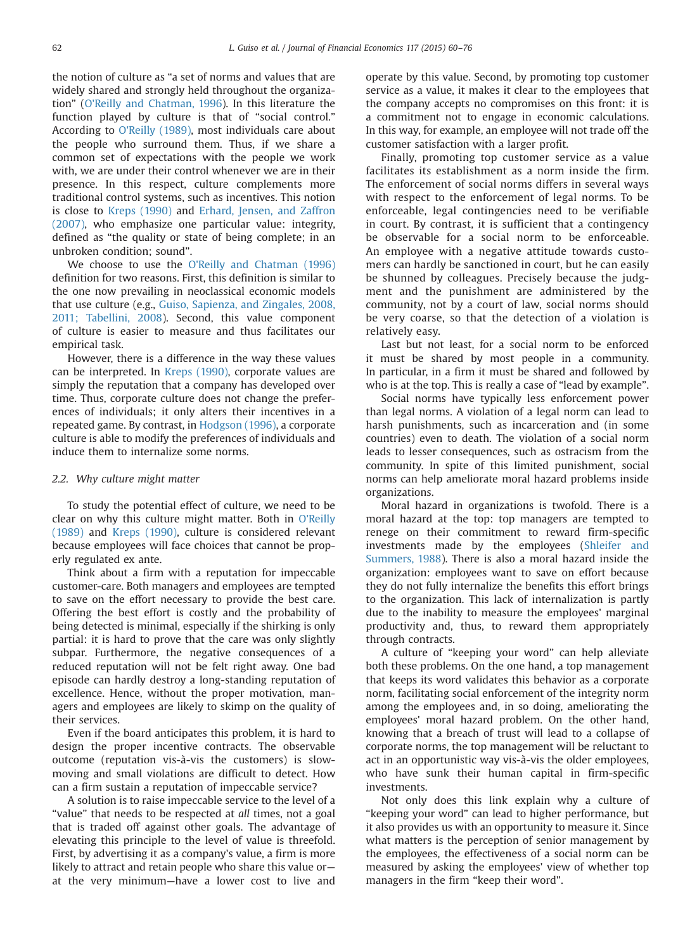the notion of culture as "a set of norms and values that are widely shared and strongly held throughout the organization" [\(O'Reilly and Chatman, 1996](#page-16-0)). In this literature the function played by culture is that of "social control." According to [O'Reilly \(1989\)](#page-16-0), most individuals care about the people who surround them. Thus, if we share a common set of expectations with the people we work with, we are under their control whenever we are in their presence. In this respect, culture complements more traditional control systems, such as incentives. This notion is close to [Kreps \(1990\)](#page-16-0) and [Erhard, Jensen, and Zaffron](#page-16-0) [\(2007\),](#page-16-0) who emphasize one particular value: integrity, defined as "the quality or state of being complete; in an unbroken condition; sound".

We choose to use the [O'Reilly and Chatman \(1996\)](#page-16-0) definition for two reasons. First, this definition is similar to the one now prevailing in neoclassical economic models that use culture (e.g., [Guiso, Sapienza, and Zingales, 2008,](#page-16-0) [2011; Tabellini, 2008\)](#page-16-0). Second, this value component of culture is easier to measure and thus facilitates our empirical task.

However, there is a difference in the way these values can be interpreted. In [Kreps \(1990\)](#page-16-0), corporate values are simply the reputation that a company has developed over time. Thus, corporate culture does not change the preferences of individuals; it only alters their incentives in a repeated game. By contrast, in [Hodgson \(1996\),](#page-16-0) a corporate culture is able to modify the preferences of individuals and induce them to internalize some norms.

#### 2.2. Why culture might matter

To study the potential effect of culture, we need to be clear on why this culture might matter. Both in [O'Reilly](#page-16-0) [\(1989\)](#page-16-0) and [Kreps \(1990\)](#page-16-0), culture is considered relevant because employees will face choices that cannot be properly regulated ex ante.

Think about a firm with a reputation for impeccable customer-care. Both managers and employees are tempted to save on the effort necessary to provide the best care. Offering the best effort is costly and the probability of being detected is minimal, especially if the shirking is only partial: it is hard to prove that the care was only slightly subpar. Furthermore, the negative consequences of a reduced reputation will not be felt right away. One bad episode can hardly destroy a long-standing reputation of excellence. Hence, without the proper motivation, managers and employees are likely to skimp on the quality of their services.

Even if the board anticipates this problem, it is hard to design the proper incentive contracts. The observable outcome (reputation vis-à-vis the customers) is slowmoving and small violations are difficult to detect. How can a firm sustain a reputation of impeccable service?

A solution is to raise impeccable service to the level of a "value" that needs to be respected at *all* times, not a goal that is traded off against other goals. The advantage of elevating this principle to the level of value is threefold. First, by advertising it as a company's value, a firm is more likely to attract and retain people who share this value or at the very minimum—have a lower cost to live and

operate by this value. Second, by promoting top customer service as a value, it makes it clear to the employees that the company accepts no compromises on this front: it is a commitment not to engage in economic calculations. In this way, for example, an employee will not trade off the customer satisfaction with a larger profit.

Finally, promoting top customer service as a value facilitates its establishment as a norm inside the firm. The enforcement of social norms differs in several ways with respect to the enforcement of legal norms. To be enforceable, legal contingencies need to be verifiable in court. By contrast, it is sufficient that a contingency be observable for a social norm to be enforceable. An employee with a negative attitude towards customers can hardly be sanctioned in court, but he can easily be shunned by colleagues. Precisely because the judgment and the punishment are administered by the community, not by a court of law, social norms should be very coarse, so that the detection of a violation is relatively easy.

Last but not least, for a social norm to be enforced it must be shared by most people in a community. In particular, in a firm it must be shared and followed by who is at the top. This is really a case of "lead by example".

Social norms have typically less enforcement power than legal norms. A violation of a legal norm can lead to harsh punishments, such as incarceration and (in some countries) even to death. The violation of a social norm leads to lesser consequences, such as ostracism from the community. In spite of this limited punishment, social norms can help ameliorate moral hazard problems inside organizations.

Moral hazard in organizations is twofold. There is a moral hazard at the top: top managers are tempted to renege on their commitment to reward firm-specific investments made by the employees ([Shleifer and](#page-16-0) [Summers, 1988\)](#page-16-0). There is also a moral hazard inside the organization: employees want to save on effort because they do not fully internalize the benefits this effort brings to the organization. This lack of internalization is partly due to the inability to measure the employees' marginal productivity and, thus, to reward them appropriately through contracts.

A culture of "keeping your word" can help alleviate both these problems. On the one hand, a top management that keeps its word validates this behavior as a corporate norm, facilitating social enforcement of the integrity norm among the employees and, in so doing, ameliorating the employees' moral hazard problem. On the other hand, knowing that a breach of trust will lead to a collapse of corporate norms, the top management will be reluctant to act in an opportunistic way vis-à-vis the older employees, who have sunk their human capital in firm-specific investments.

Not only does this link explain why a culture of "keeping your word" can lead to higher performance, but it also provides us with an opportunity to measure it. Since what matters is the perception of senior management by the employees, the effectiveness of a social norm can be measured by asking the employees' view of whether top managers in the firm "keep their word".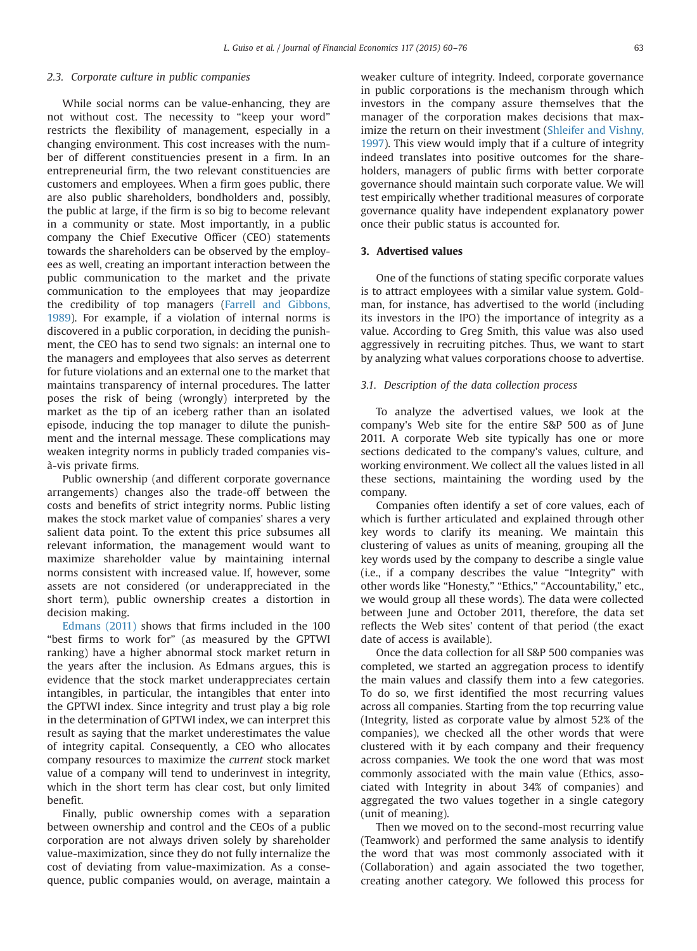#### <span id="page-3-0"></span>2.3. Corporate culture in public companies

While social norms can be value-enhancing, they are not without cost. The necessity to "keep your word" restricts the flexibility of management, especially in a changing environment. This cost increases with the number of different constituencies present in a firm. In an entrepreneurial firm, the two relevant constituencies are customers and employees. When a firm goes public, there are also public shareholders, bondholders and, possibly, the public at large, if the firm is so big to become relevant in a community or state. Most importantly, in a public company the Chief Executive Officer (CEO) statements towards the shareholders can be observed by the employees as well, creating an important interaction between the public communication to the market and the private communication to the employees that may jeopardize the credibility of top managers ([Farrell and Gibbons,](#page-16-0) [1989](#page-16-0)). For example, if a violation of internal norms is discovered in a public corporation, in deciding the punishment, the CEO has to send two signals: an internal one to the managers and employees that also serves as deterrent for future violations and an external one to the market that maintains transparency of internal procedures. The latter poses the risk of being (wrongly) interpreted by the market as the tip of an iceberg rather than an isolated episode, inducing the top manager to dilute the punishment and the internal message. These complications may weaken integrity norms in publicly traded companies visà-vis private firms.

Public ownership (and different corporate governance arrangements) changes also the trade-off between the costs and benefits of strict integrity norms. Public listing makes the stock market value of companies' shares a very salient data point. To the extent this price subsumes all relevant information, the management would want to maximize shareholder value by maintaining internal norms consistent with increased value. If, however, some assets are not considered (or underappreciated in the short term), public ownership creates a distortion in decision making.

[Edmans \(2011\)](#page-16-0) shows that firms included in the 100 "best firms to work for" (as measured by the GPTWI ranking) have a higher abnormal stock market return in the years after the inclusion. As Edmans argues, this is evidence that the stock market underappreciates certain intangibles, in particular, the intangibles that enter into the GPTWI index. Since integrity and trust play a big role in the determination of GPTWI index, we can interpret this result as saying that the market underestimates the value of integrity capital. Consequently, a CEO who allocates company resources to maximize the current stock market value of a company will tend to underinvest in integrity, which in the short term has clear cost, but only limited benefit.

Finally, public ownership comes with a separation between ownership and control and the CEOs of a public corporation are not always driven solely by shareholder value-maximization, since they do not fully internalize the cost of deviating from value-maximization. As a consequence, public companies would, on average, maintain a

weaker culture of integrity. Indeed, corporate governance in public corporations is the mechanism through which investors in the company assure themselves that the manager of the corporation makes decisions that maximize the return on their investment ([Shleifer and Vishny,](#page-16-0) [1997](#page-16-0)). This view would imply that if a culture of integrity indeed translates into positive outcomes for the shareholders, managers of public firms with better corporate governance should maintain such corporate value. We will test empirically whether traditional measures of corporate governance quality have independent explanatory power once their public status is accounted for.

## 3. Advertised values

One of the functions of stating specific corporate values is to attract employees with a similar value system. Goldman, for instance, has advertised to the world (including its investors in the IPO) the importance of integrity as a value. According to Greg Smith, this value was also used aggressively in recruiting pitches. Thus, we want to start by analyzing what values corporations choose to advertise.

#### 3.1. Description of the data collection process

To analyze the advertised values, we look at the company's Web site for the entire S&P 500 as of June 2011. A corporate Web site typically has one or more sections dedicated to the company's values, culture, and working environment. We collect all the values listed in all these sections, maintaining the wording used by the company.

Companies often identify a set of core values, each of which is further articulated and explained through other key words to clarify its meaning. We maintain this clustering of values as units of meaning, grouping all the key words used by the company to describe a single value (i.e., if a company describes the value "Integrity" with other words like "Honesty," "Ethics," "Accountability," etc., we would group all these words). The data were collected between June and October 2011, therefore, the data set reflects the Web sites' content of that period (the exact date of access is available).

Once the data collection for all S&P 500 companies was completed, we started an aggregation process to identify the main values and classify them into a few categories. To do so, we first identified the most recurring values across all companies. Starting from the top recurring value (Integrity, listed as corporate value by almost 52% of the companies), we checked all the other words that were clustered with it by each company and their frequency across companies. We took the one word that was most commonly associated with the main value (Ethics, associated with Integrity in about 34% of companies) and aggregated the two values together in a single category (unit of meaning).

Then we moved on to the second-most recurring value (Teamwork) and performed the same analysis to identify the word that was most commonly associated with it (Collaboration) and again associated the two together, creating another category. We followed this process for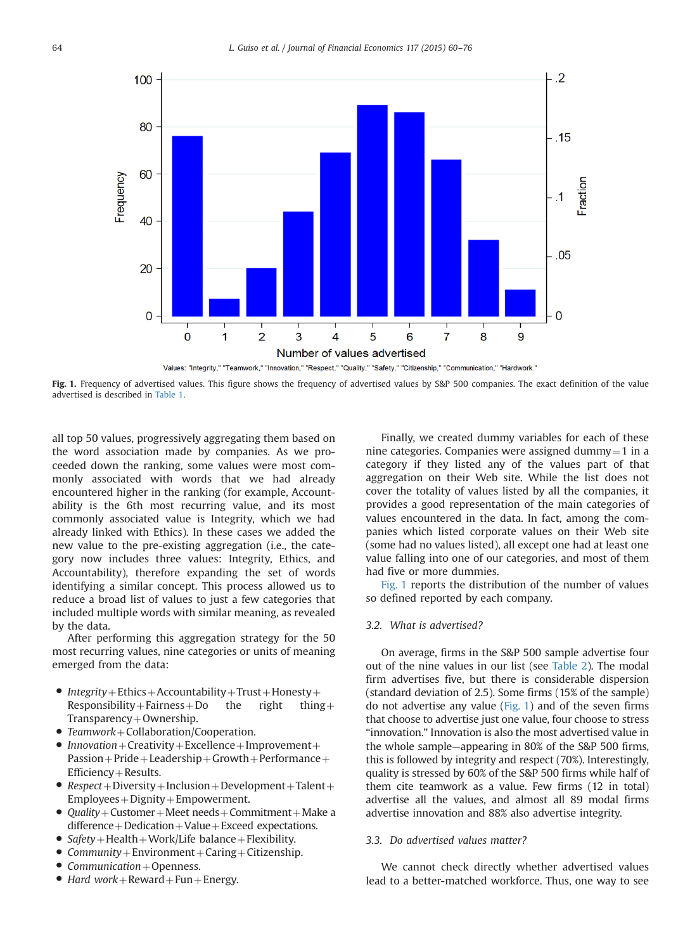

Fig. 1. Frequency of advertised values. This figure shows the frequency of advertised values by S&P 500 companies. The exact definition of the value advertised is described in [Table 1](#page-6-0).

all top 50 values, progressively aggregating them based on the word association made by companies. As we proceeded down the ranking, some values were most commonly associated with words that we had already encountered higher in the ranking (for example, Accountability is the 6th most recurring value, and its most commonly associated value is Integrity, which we had already linked with Ethics). In these cases we added the new value to the pre-existing aggregation (i.e., the category now includes three values: Integrity, Ethics, and Accountability), therefore expanding the set of words identifying a similar concept. This process allowed us to reduce a broad list of values to just a few categories that included multiple words with similar meaning, as revealed by the data.

After performing this aggregation strategy for the 50 most recurring values, nine categories or units of meaning emerged from the data:

- Integrity + Ethics + Accountability + Trust + Honesty + Responsibility + Fairness + Do the right thing +  $Responsibility + Fairness + Do$  $Transport+Ownership.$
- Teamwork+Collaboration/Cooperation.
- $In novation + Creative + Exercise$ llence + Improvement +  $Passion + Pride + Leadership + Growth + Performance +$ Efficiency + Results.
- $Respect+Diversity+Inclusion+Development+Talent+$  $Employes + Digity + Empowerment.$
- $Quality + Customer + Meet \ needs + Committee + Make a$  $difference + Dedication + Value + Excel$  expectations.
- $Safety+Health+Work/Life balance+Flexibility.$
- $Commuty + Environment + Caring + Citizenship.$
- $Communication+Openness.$
- Hard work + Reward + Fun + Energy.

Finally, we created dummy variables for each of these nine categories. Companies were assigned dummy =  $1$  in a category if they listed any of the values part of that aggregation on their Web site. While the list does not cover the totality of values listed by all the companies, it provides a good representation of the main categories of values encountered in the data. In fact, among the companies which listed corporate values on their Web site (some had no values listed), all except one had at least one value falling into one of our categories, and most of them had five or more dummies.

Fig. 1 reports the distribution of the number of values so defined reported by each company.

## 3.2. What is advertised?

On average, firms in the S&P 500 sample advertise four out of the nine values in our list (see [Table 2\)](#page-9-0). The modal firm advertises five, but there is considerable dispersion (standard deviation of 2.5). Some firms (15% of the sample) do not advertise any value  $(Fig, 1)$  and of the seven firms that choose to advertise just one value, four choose to stress "innovation." Innovation is also the most advertised value in the whole sample—appearing in 80% of the S&P 500 firms, this is followed by integrity and respect (70%). Interestingly, quality is stressed by 60% of the S&P 500 firms while half of them cite teamwork as a value. Few firms (12 in total) advertise all the values, and almost all 89 modal firms advertise innovation and 88% also advertise integrity.

## 3.3. Do advertised values matter?

We cannot check directly whether advertised values lead to a better-matched workforce. Thus, one way to see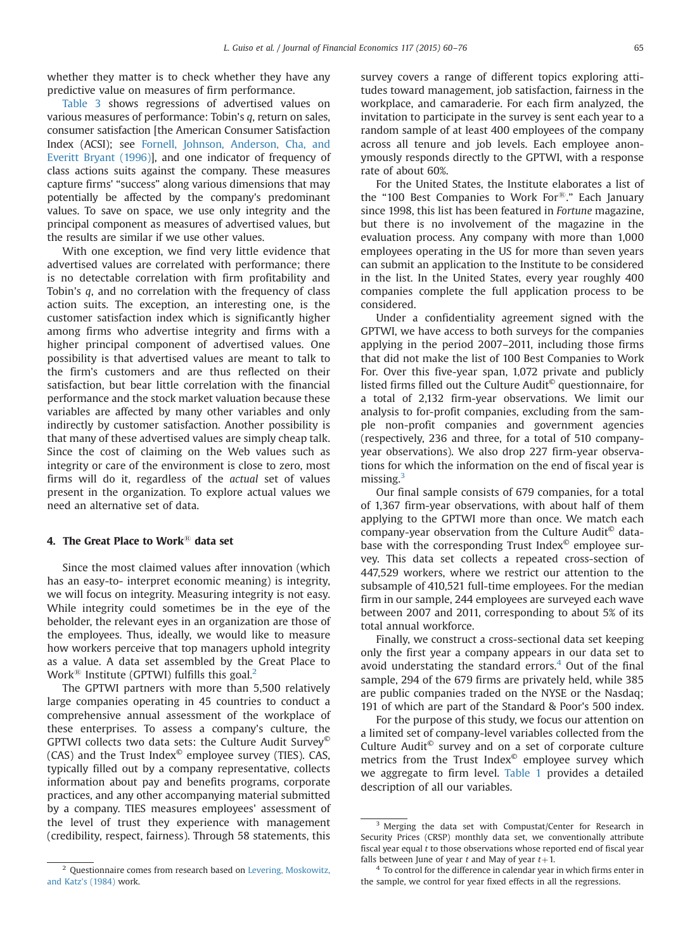<span id="page-5-0"></span>whether they matter is to check whether they have any predictive value on measures of firm performance.

[Table 3](#page-11-0) shows regressions of advertised values on various measures of performance: Tobin's q, return on sales, consumer satisfaction [the American Consumer Satisfaction Index (ACSI); see [Fornell, Johnson, Anderson, Cha, and](#page-16-0) [Everitt Bryant \(1996\)\]](#page-16-0), and one indicator of frequency of class actions suits against the company. These measures capture firms' "success" along various dimensions that may potentially be affected by the company's predominant values. To save on space, we use only integrity and the principal component as measures of advertised values, but the results are similar if we use other values.

With one exception, we find very little evidence that advertised values are correlated with performance; there is no detectable correlation with firm profitability and Tobin's *a*, and no correlation with the frequency of class action suits. The exception, an interesting one, is the customer satisfaction index which is significantly higher among firms who advertise integrity and firms with a higher principal component of advertised values. One possibility is that advertised values are meant to talk to the firm's customers and are thus reflected on their satisfaction, but bear little correlation with the financial performance and the stock market valuation because these variables are affected by many other variables and only indirectly by customer satisfaction. Another possibility is that many of these advertised values are simply cheap talk. Since the cost of claiming on the Web values such as integrity or care of the environment is close to zero, most firms will do it, regardless of the actual set of values present in the organization. To explore actual values we need an alternative set of data.

## 4. The Great Place to Work<sup>®</sup> data set

Since the most claimed values after innovation (which has an easy-to- interpret economic meaning) is integrity, we will focus on integrity. Measuring integrity is not easy. While integrity could sometimes be in the eye of the beholder, the relevant eyes in an organization are those of the employees. Thus, ideally, we would like to measure how workers perceive that top managers uphold integrity as a value. A data set assembled by the Great Place to Work $\textsuperscript{B}$  Institute (GPTWI) fulfills this goal.<sup>2</sup>

The GPTWI partners with more than 5,500 relatively large companies operating in 45 countries to conduct a comprehensive annual assessment of the workplace of these enterprises. To assess a company's culture, the GPTWI collects two data sets: the Culture Audit Survey© (CAS) and the Trust Index© employee survey (TIES). CAS, typically filled out by a company representative, collects information about pay and benefits programs, corporate practices, and any other accompanying material submitted by a company. TIES measures employees' assessment of the level of trust they experience with management (credibility, respect, fairness). Through 58 statements, this

survey covers a range of different topics exploring attitudes toward management, job satisfaction, fairness in the workplace, and camaraderie. For each firm analyzed, the invitation to participate in the survey is sent each year to a random sample of at least 400 employees of the company across all tenure and job levels. Each employee anonymously responds directly to the GPTWI, with a response rate of about 60%.

For the United States, the Institute elaborates a list of the "100 Best Companies to Work For $\mathbb{B}$ ." Each January since 1998, this list has been featured in Fortune magazine, but there is no involvement of the magazine in the evaluation process. Any company with more than 1,000 employees operating in the US for more than seven years can submit an application to the Institute to be considered in the list. In the United States, every year roughly 400 companies complete the full application process to be considered.

Under a confidentiality agreement signed with the GPTWI, we have access to both surveys for the companies applying in the period 2007–2011, including those firms that did not make the list of 100 Best Companies to Work For. Over this five-year span, 1,072 private and publicly listed firms filled out the Culture Audit© questionnaire, for a total of 2,132 firm-year observations. We limit our analysis to for-profit companies, excluding from the sample non-profit companies and government agencies (respectively, 236 and three, for a total of 510 companyyear observations). We also drop 227 firm-year observations for which the information on the end of fiscal year is missing.<sup>3</sup>

Our final sample consists of 679 companies, for a total of 1,367 firm-year observations, with about half of them applying to the GPTWI more than once. We match each company-year observation from the Culture Audit© database with the corresponding Trust Index<sup>®</sup> employee survey. This data set collects a repeated cross-section of 447,529 workers, where we restrict our attention to the subsample of 410,521 full-time employees. For the median firm in our sample, 244 employees are surveyed each wave between 2007 and 2011, corresponding to about 5% of its total annual workforce.

Finally, we construct a cross-sectional data set keeping only the first year a company appears in our data set to avoid understating the standard errors.<sup>4</sup> Out of the final sample, 294 of the 679 firms are privately held, while 385 are public companies traded on the NYSE or the Nasdaq; 191 of which are part of the Standard & Poor's 500 index.

For the purpose of this study, we focus our attention on a limited set of company-level variables collected from the Culture Audit© survey and on a set of corporate culture metrics from the Trust Index<sup>®</sup> employee survey which we aggregate to firm level. [Table 1](#page-6-0) provides a detailed description of all our variables.

<sup>2</sup> Questionnaire comes from research based on [Levering, Moskowitz,](#page-16-0) [and Katz's \(1984\)](#page-16-0) work.

<sup>&</sup>lt;sup>3</sup> Merging the data set with Compustat/Center for Research in Security Prices (CRSP) monthly data set, we conventionally attribute fiscal year equal  $t$  to those observations whose reported end of fiscal year falls between June of year t and May of year  $t+1$ .<br><sup>4</sup> To control for the difference in calendar year in which firms enter in

the sample, we control for year fixed effects in all the regressions.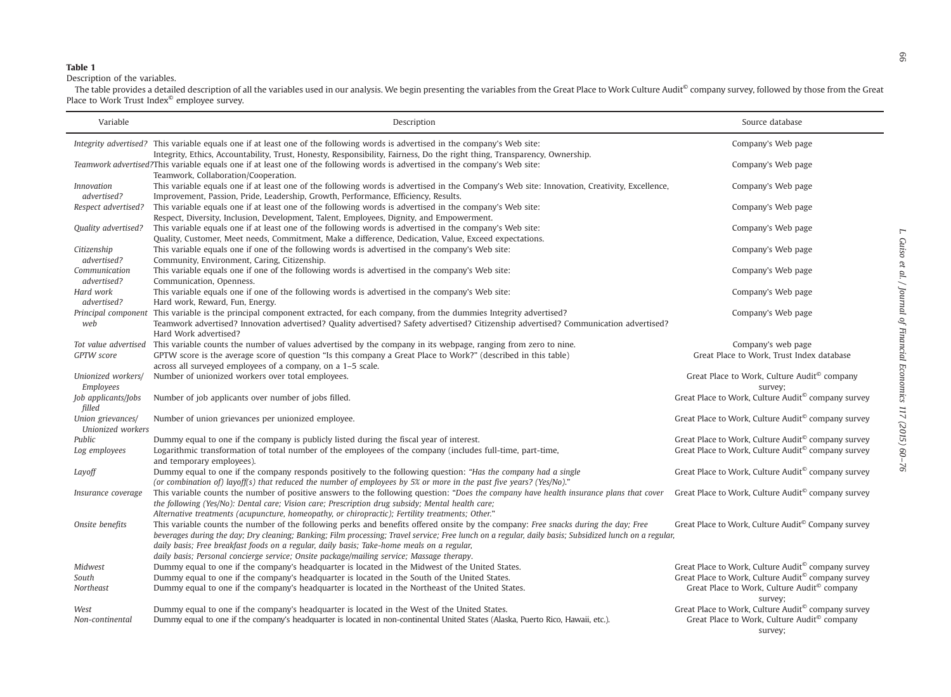<span id="page-6-0"></span>Description of the variables.

The table provides a detailed description of all the variables used in our analysis. We begin presenting the variables from the Great Place to Work Culture Audit<sup>®</sup> company survey, followed by those from the Great Place to Work Trust Index<sup>®</sup> employee survey.

| Variable                               | Description                                                                                                                                                                                                                                                                                                                                                                                                                                                                              | Source database                                                                                                                                                                                        |
|----------------------------------------|------------------------------------------------------------------------------------------------------------------------------------------------------------------------------------------------------------------------------------------------------------------------------------------------------------------------------------------------------------------------------------------------------------------------------------------------------------------------------------------|--------------------------------------------------------------------------------------------------------------------------------------------------------------------------------------------------------|
|                                        | Integrity advertised? This variable equals one if at least one of the following words is advertised in the company's Web site:<br>Integrity, Ethics, Accountability, Trust, Honesty, Responsibility, Fairness, Do the right thing, Transparency, Ownership.                                                                                                                                                                                                                              | Company's Web page                                                                                                                                                                                     |
|                                        | Teamwork advertised?This variable equals one if at least one of the following words is advertised in the company's Web site:<br>Teamwork, Collaboration/Cooperation.                                                                                                                                                                                                                                                                                                                     | Company's Web page                                                                                                                                                                                     |
| Innovation<br>advertised?              | This variable equals one if at least one of the following words is advertised in the Company's Web site: Innovation, Creativity, Excellence,<br>Improvement, Passion, Pride, Leadership, Growth, Performance, Efficiency, Results.                                                                                                                                                                                                                                                       | Company's Web page                                                                                                                                                                                     |
| Respect advertised?                    | This variable equals one if at least one of the following words is advertised in the company's Web site:<br>Respect, Diversity, Inclusion, Development, Talent, Employees, Dignity, and Empowerment.                                                                                                                                                                                                                                                                                     | Company's Web page                                                                                                                                                                                     |
| Quality advertised?                    | This variable equals one if at least one of the following words is advertised in the company's Web site:<br>Quality, Customer, Meet needs, Commitment, Make a difference, Dedication, Value, Exceed expectations.                                                                                                                                                                                                                                                                        | Company's Web page                                                                                                                                                                                     |
| Citizenship<br>advertised?             | This variable equals one if one of the following words is advertised in the company's Web site:<br>Community, Environment, Caring, Citizenship.                                                                                                                                                                                                                                                                                                                                          | Company's Web page                                                                                                                                                                                     |
| Communication<br>advertised?           | This variable equals one if one of the following words is advertised in the company's Web site:<br>Communication, Openness.                                                                                                                                                                                                                                                                                                                                                              | Company's Web page                                                                                                                                                                                     |
| Hard work<br>advertised?               | This variable equals one if one of the following words is advertised in the company's Web site:<br>Hard work, Reward, Fun, Energy.                                                                                                                                                                                                                                                                                                                                                       | Company's Web page                                                                                                                                                                                     |
| web                                    | Principal component This variable is the principal component extracted, for each company, from the dummies Integrity advertised?<br>Teamwork advertised? Innovation advertised? Quality advertised? Safety advertised? Citizenship advertised? Communication advertised?<br>Hard Work advertised?                                                                                                                                                                                        | Company's Web page                                                                                                                                                                                     |
| <b>GPTW</b> score                      | Tot value advertised This variable counts the number of values advertised by the company in its webpage, ranging from zero to nine.<br>GPTW score is the average score of question "Is this company a Great Place to Work?" (described in this table)<br>across all surveyed employees of a company, on a 1-5 scale.                                                                                                                                                                     | Company's web page<br>Great Place to Work, Trust Index database                                                                                                                                        |
| Unionized workers/<br>Employees        | Number of unionized workers over total employees.                                                                                                                                                                                                                                                                                                                                                                                                                                        | Great Place to Work, Culture Audit <sup>®</sup> company<br>survey;                                                                                                                                     |
| Job applicants/Jobs<br>filled          | Number of job applicants over number of jobs filled.                                                                                                                                                                                                                                                                                                                                                                                                                                     | Great Place to Work, Culture Audit <sup>®</sup> company survey                                                                                                                                         |
| Union grievances/<br>Unionized workers | Number of union grievances per unionized employee.                                                                                                                                                                                                                                                                                                                                                                                                                                       | Great Place to Work, Culture Audit <sup>®</sup> company survey                                                                                                                                         |
| Public<br>Log employees                | Dummy equal to one if the company is publicly listed during the fiscal year of interest.<br>Logarithmic transformation of total number of the employees of the company (includes full-time, part-time,<br>and temporary employees).                                                                                                                                                                                                                                                      | Great Place to Work, Culture Audit <sup>®</sup> company survey<br>Great Place to Work, Culture Audit <sup>®</sup> company survey                                                                       |
| Layoff                                 | Dummy equal to one if the company responds positively to the following question: "Has the company had a single<br>(or combination of) layoff(s) that reduced the number of employees by 5% or more in the past five years? (Yes/No)."                                                                                                                                                                                                                                                    | Great Place to Work, Culture Audit <sup>®</sup> company survey                                                                                                                                         |
| Insurance coverage                     | This variable counts the number of positive answers to the following question: "Does the company have health insurance plans that cover<br>the following (Yes/No): Dental care; Vision care; Prescription drug subsidy; Mental health care;<br>Alternative treatments (acupuncture, homeopathy, or chiropractic); Fertility treatments; Other."                                                                                                                                          | Great Place to Work, Culture Audit <sup>®</sup> company survey                                                                                                                                         |
| Onsite benefits                        | This variable counts the number of the following perks and benefits offered onsite by the company: Free snacks during the day; Free<br>beverages during the day; Dry cleaning; Banking; Film processing; Travel service; Free lunch on a regular, daily basis; Subsidized lunch on a regular,<br>daily basis; Free breakfast foods on a regular, daily basis; Take-home meals on a regular,<br>daily basis; Personal concierge service; Onsite package/mailing service; Massage therapy. | Great Place to Work, Culture Audit® Company survey                                                                                                                                                     |
| Midwest<br>South<br>Northeast          | Dummy equal to one if the company's headquarter is located in the Midwest of the United States.<br>Dummy equal to one if the company's headquarter is located in the South of the United States.<br>Dummy equal to one if the company's headquarter is located in the Northeast of the United States.                                                                                                                                                                                    | Great Place to Work, Culture Audit <sup>®</sup> company survey<br>Great Place to Work, Culture Audit <sup>®</sup> company survey<br>Great Place to Work, Culture Audit <sup>®</sup> company<br>survey; |
| West<br>Non-continental                | Dummy equal to one if the company's headquarter is located in the West of the United States.<br>Dummy equal to one if the company's headquarter is located in non-continental United States (Alaska, Puerto Rico, Hawaii, etc.).                                                                                                                                                                                                                                                         | Great Place to Work, Culture Audit® company survey<br>Great Place to Work, Culture Audit <sup>®</sup> company<br>survey;                                                                               |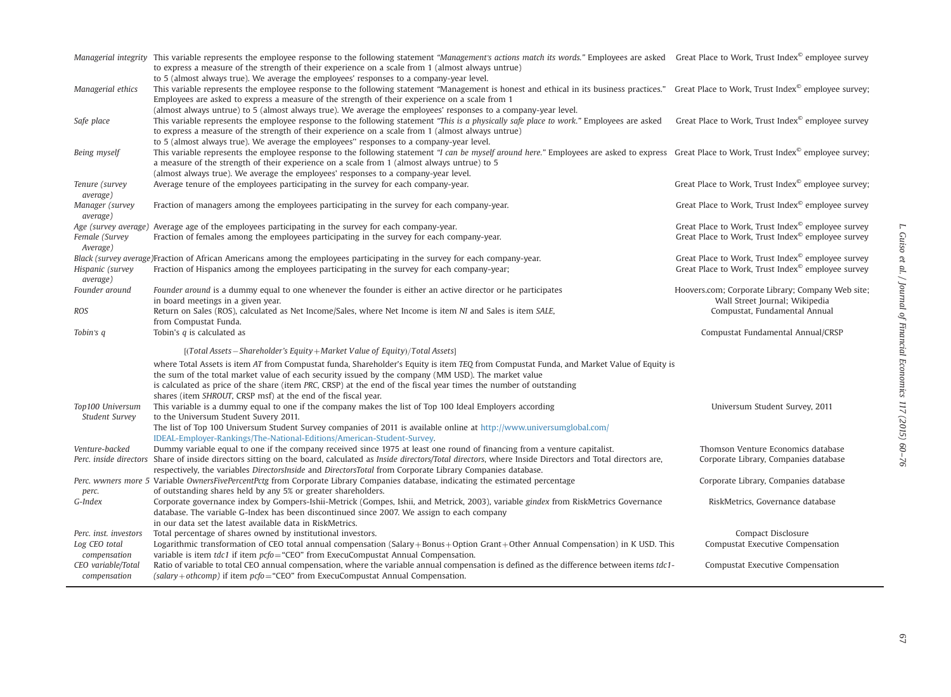|                                    | Managerial integrity This variable represents the employee response to the following statement "Management's actions match its words." Employees are asked Great Place to Work, Trust Index® employee survey<br>to express a measure of the strength of their experience on a scale from 1 (almost always untrue)<br>to 5 (almost always true). We average the employees' responses to a company-year level.                           |                                                                                                                    |
|------------------------------------|----------------------------------------------------------------------------------------------------------------------------------------------------------------------------------------------------------------------------------------------------------------------------------------------------------------------------------------------------------------------------------------------------------------------------------------|--------------------------------------------------------------------------------------------------------------------|
| Managerial ethics                  | This variable represents the employee response to the following statement "Management is honest and ethical in its business practices." Great Place to Work, Trust Index® employee survey;<br>Employees are asked to express a measure of the strength of their experience on a scale from 1                                                                                                                                           |                                                                                                                    |
| Safe place                         | (almost always untrue) to 5 (almost always true). We average the employees' responses to a company-year level.<br>This variable represents the employee response to the following statement "This is a physically safe place to work." Employees are asked<br>to express a measure of the strength of their experience on a scale from 1 (almost always untrue)                                                                        | Great Place to Work, Trust Index <sup>®</sup> employee survey                                                      |
| Being myself                       | to 5 (almost always true). We average the employees" responses to a company-year level.<br>This variable represents the employee response to the following statement "I can be myself around here." Employees are asked to express Great Place to Work, Trust Index® employee survey;<br>a measure of the strength of their experience on a scale from 1 (almost always untrue) to 5                                                   |                                                                                                                    |
| Tenure (survey<br>average)         | (almost always true). We average the employees' responses to a company-year level.<br>Average tenure of the employees participating in the survey for each company-year.                                                                                                                                                                                                                                                               | Great Place to Work, Trust Index <sup>®</sup> employee survey;                                                     |
| Manager (survey<br>average)        | Fraction of managers among the employees participating in the survey for each company-year.                                                                                                                                                                                                                                                                                                                                            | Great Place to Work, Trust Index® employee survey                                                                  |
|                                    | Age (survey average) Average age of the employees participating in the survey for each company-year.                                                                                                                                                                                                                                                                                                                                   | Great Place to Work, Trust Index <sup>®</sup> employee survey                                                      |
| Female (Survey<br>Average)         | Fraction of females among the employees participating in the survey for each company-year.                                                                                                                                                                                                                                                                                                                                             | Great Place to Work, Trust Index <sup>®</sup> employee survey                                                      |
| Hispanic (survey<br>average)       | Black (survey average)Fraction of African Americans among the employees participating in the survey for each company-year.<br>Fraction of Hispanics among the employees participating in the survey for each company-year;                                                                                                                                                                                                             | Great Place to Work, Trust Index <sup>®</sup> employee survey<br>Great Place to Work, Trust Index® employee survey |
| Founder around                     | Founder around is a dummy equal to one whenever the founder is either an active director or he participates<br>in board meetings in a given year.                                                                                                                                                                                                                                                                                      | Hoovers.com; Corporate Library; Company Web site;<br>Wall Street Journal; Wikipedia                                |
| ROS                                | Return on Sales (ROS), calculated as Net Income/Sales, where Net Income is item NI and Sales is item SALE,<br>from Compustat Funda.                                                                                                                                                                                                                                                                                                    | Compustat, Fundamental Annual                                                                                      |
| Tobin's q                          | Tobin's $q$ is calculated as                                                                                                                                                                                                                                                                                                                                                                                                           | Compustat Fundamental Annual/CRSP                                                                                  |
|                                    | [(Total Assets - Shareholder's Equity + Market Value of Equity)/Total Assets]                                                                                                                                                                                                                                                                                                                                                          |                                                                                                                    |
|                                    | where Total Assets is item AT from Compustat funda, Shareholder's Equity is item TEQ from Compustat Funda, and Market Value of Equity is<br>the sum of the total market value of each security issued by the company (MM USD). The market value<br>is calculated as price of the share (item PRC, CRSP) at the end of the fiscal year times the number of outstanding<br>shares (item SHROUT, CRSP msf) at the end of the fiscal year. |                                                                                                                    |
| Top100 Universum<br>Student Survey | This variable is a dummy equal to one if the company makes the list of Top 100 Ideal Employers according<br>to the Universum Student Suvery 2011.                                                                                                                                                                                                                                                                                      | Universum Student Survey, 2011                                                                                     |
|                                    | The list of Top 100 Universum Student Survey companies of 2011 is available online at http://www.universumglobal.com/<br>IDEAL-Employer-Rankings/The-National-Editions/American-Student-Survey.                                                                                                                                                                                                                                        |                                                                                                                    |
| Venture-backed                     | Dummy variable equal to one if the company received since 1975 at least one round of financing from a venture capitalist.<br>Perc. inside directors Share of inside directors sitting on the board, calculated as Inside directors/Total directors, where Inside Directors and Total directors are,<br>respectively, the variables DirectorsInside and DirectorsTotal from Corporate Library Companies database.                       | Thomson Venture Economics database<br>Corporate Library, Companies database                                        |
| perc.                              | Perc. wwners more 5 Variable OwnersFivePercentPctg from Corporate Library Companies database, indicating the estimated percentage<br>of outstanding shares held by any 5% or greater shareholders.                                                                                                                                                                                                                                     | Corporate Library, Companies database                                                                              |
| G-Index                            | Corporate governance index by Gompers-Ishii-Metrick (Gompes, Ishii, and Metrick, 2003), variable gindex from RiskMetrics Governance<br>database. The variable G-Index has been discontinued since 2007. We assign to each company<br>in our data set the latest available data in RiskMetrics.                                                                                                                                         | RiskMetrics, Governance database                                                                                   |
| Perc. inst. investors              | Total percentage of shares owned by institutional investors.                                                                                                                                                                                                                                                                                                                                                                           | Compact Disclosure                                                                                                 |
| Log CEO total<br>compensation      | Logarithmic transformation of CEO total annual compensation (Salary+Bonus+Option Grant+Other Annual Compensation) in K USD. This<br>variable is item $tdc1$ if item $pcfo = "CEO"$ from ExecuCompustat Annual Compensation.                                                                                                                                                                                                            | Compustat Executive Compensation                                                                                   |
| CEO variable/Total<br>compensation | Ratio of variable to total CEO annual compensation, where the variable annual compensation is defined as the difference between items tdc1-<br>(salary+othcomp) if item $pcfo = "CEO"$ from ExecuCompustat Annual Compensation.                                                                                                                                                                                                        | Compustat Executive Compensation                                                                                   |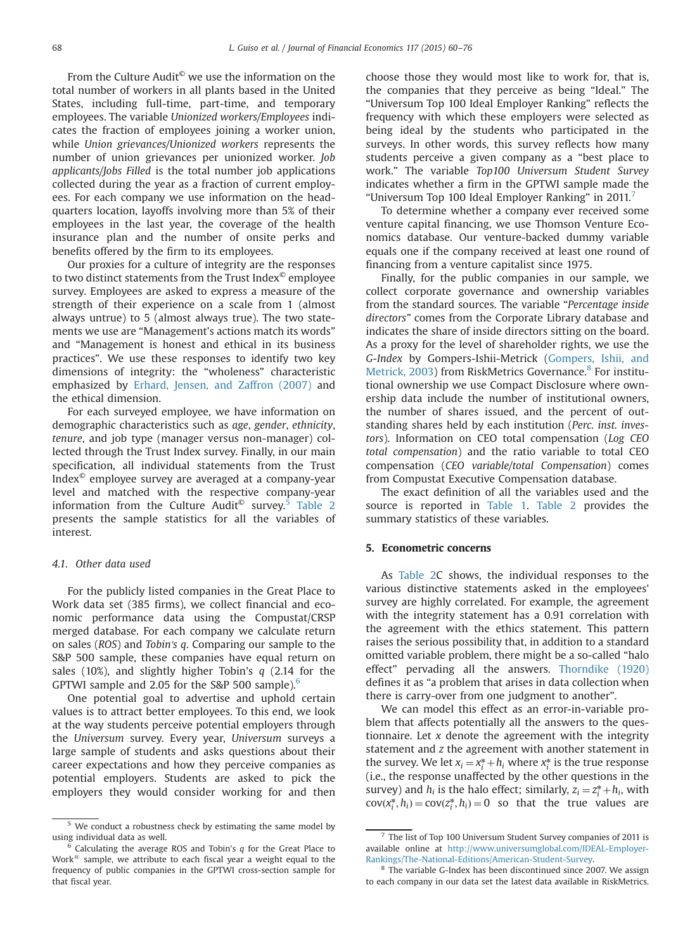<span id="page-8-0"></span>From the Culture Audit<sup>®</sup> we use the information on the total number of workers in all plants based in the United States, including full-time, part-time, and temporary employees. The variable Unionized workers/Employees indicates the fraction of employees joining a worker union, while Union grievances/Unionized workers represents the number of union grievances per unionized worker. Job applicants/Jobs Filled is the total number job applications collected during the year as a fraction of current employees. For each company we use information on the headquarters location, layoffs involving more than 5% of their employees in the last year, the coverage of the health insurance plan and the number of onsite perks and benefits offered by the firm to its employees.

Our proxies for a culture of integrity are the responses to two distinct statements from the Trust Index<sup>®</sup> employee survey. Employees are asked to express a measure of the strength of their experience on a scale from 1 (almost always untrue) to 5 (almost always true). The two statements we use are "Management's actions match its words" and "Management is honest and ethical in its business practices". We use these responses to identify two key dimensions of integrity: the "wholeness" characteristic emphasized by [Erhard, Jensen, and Zaffron \(2007\)](#page-16-0) and the ethical dimension.

For each surveyed employee, we have information on demographic characteristics such as age, gender, ethnicity, tenure, and job type (manager versus non-manager) collected through the Trust Index survey. Finally, in our main specification, all individual statements from the Trust Index© employee survey are averaged at a company-year level and matched with the respective company-year information from the Culture Audit<sup>®</sup> survey.<sup>5</sup> [Table 2](#page-9-0) presents the sample statistics for all the variables of interest.

#### 4.1. Other data used

For the publicly listed companies in the Great Place to Work data set (385 firms), we collect financial and economic performance data using the Compustat/CRSP merged database. For each company we calculate return on sales (ROS) and Tobin's q. Comparing our sample to the S&P 500 sample, these companies have equal return on sales (10%), and slightly higher Tobin's  $q$  (2.14 for the GPTWI sample and 2.05 for the S&P 500 sample). $6$ 

One potential goal to advertise and uphold certain values is to attract better employees. To this end, we look at the way students perceive potential employers through the Universum survey. Every year, Universum surveys a large sample of students and asks questions about their career expectations and how they perceive companies as potential employers. Students are asked to pick the employers they would consider working for and then

choose those they would most like to work for, that is, the companies that they perceive as being "Ideal." The "Universum Top 100 Ideal Employer Ranking" reflects the frequency with which these employers were selected as being ideal by the students who participated in the surveys. In other words, this survey reflects how many students perceive a given company as a "best place to work." The variable Top100 Universum Student Survey indicates whether a firm in the GPTWI sample made the "Universum Top 100 Ideal Employer Ranking" in 2011.<sup>7</sup>

To determine whether a company ever received some venture capital financing, we use Thomson Venture Economics database. Our venture-backed dummy variable equals one if the company received at least one round of financing from a venture capitalist since 1975.

Finally, for the public companies in our sample, we collect corporate governance and ownership variables from the standard sources. The variable "Percentage inside directors" comes from the Corporate Library database and indicates the share of inside directors sitting on the board. As a proxy for the level of shareholder rights, we use the G-Index by Gompers-Ishii-Metrick [\(Gompers, Ishii, and](#page-16-0) [Metrick, 2003\)](#page-16-0) from RiskMetrics Governance.<sup>8</sup> For institutional ownership we use Compact Disclosure where ownership data include the number of institutional owners, the number of shares issued, and the percent of outstanding shares held by each institution (Perc. inst. investors). Information on CEO total compensation (Log CEO total compensation) and the ratio variable to total CEO compensation (CEO variable/total Compensation) comes from Compustat Executive Compensation database.

The exact definition of all the variables used and the source is reported in [Table 1.](#page-6-0) [Table 2](#page-9-0) provides the summary statistics of these variables.

#### 5. Econometric concerns

As [Table 2C](#page-9-0) shows, the individual responses to the various distinctive statements asked in the employees' survey are highly correlated. For example, the agreement with the integrity statement has a 0.91 correlation with the agreement with the ethics statement. This pattern raises the serious possibility that, in addition to a standard omitted variable problem, there might be a so-called "halo effect" pervading all the answers. [Thorndike \(1920\)](#page-16-0) defines it as "a problem that arises in data collection when there is carry-over from one judgment to another".

We can model this effect as an error-in-variable problem that affects potentially all the answers to the questionnaire. Let  $x$  denote the agreement with the integrity statement and z the agreement with another statement in the survey. We let  $x_i = x_i^* + h_i$  where  $x_i^*$  is the true response (i.e., the response unaffected by the other questions in the survey) and  $h_i$  is the halo effect; similarly,  $z_i = z_i^* + h_i$ , with  $cov(x_i^*, h_i) = cov(z_i^*, h_i) = 0$  so that the true values are

<sup>5</sup> We conduct a robustness check by estimating the same model by using individual data as well.

Calculating the average ROS and Tobin's  $q$  for the Great Place to Work $^{\text{\tiny (E)}}$  sample, we attribute to each fiscal year a weight equal to the frequency of public companies in the GPTWI cross-section sample for that fiscal year.

 $7$  The list of Top 100 Universum Student Survey companies of 2011 is available online at [http://www.universumglobal.com/IDEAL-Employer-](http://www.universumglobal.com/IDEAL-Employer-Rankings/The-National-Editions/American-Student-Survey)[Rankings/The-National-Editions/American-Student-Survey](http://www.universumglobal.com/IDEAL-Employer-Rankings/The-National-Editions/American-Student-Survey).

<sup>8</sup> The variable G-Index has been discontinued since 2007. We assign to each company in our data set the latest data available in RiskMetrics.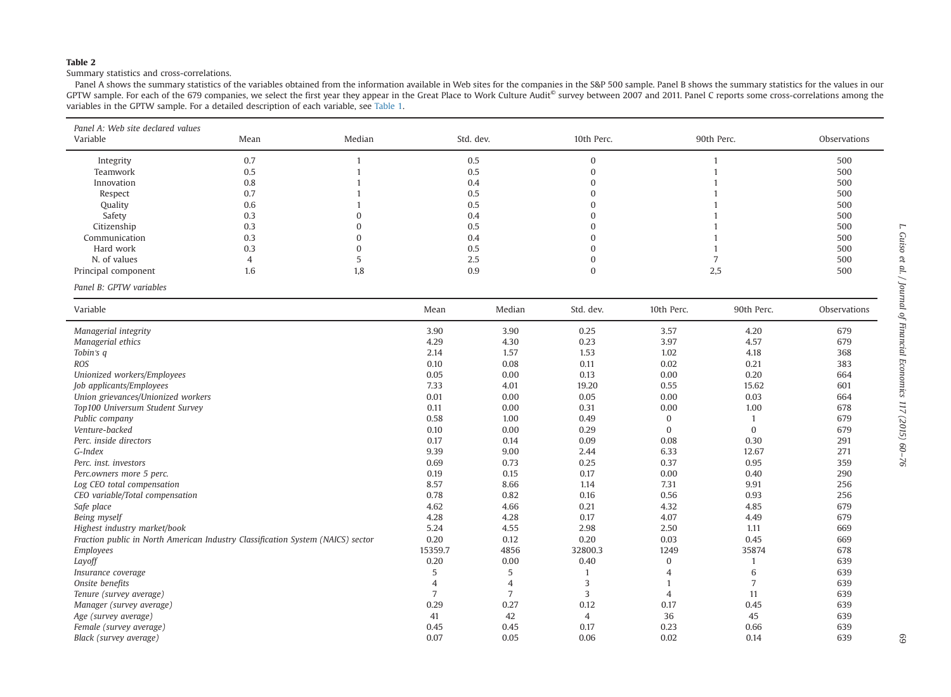<span id="page-9-0"></span>Summary statistics and cross-correlations.

Panel A shows the summary statistics of the variables obtained from the information available in Web sites for the companies in the S&P 500 sample. Panel B shows the summary statistics for the values in our GPTW sample. For each of the 679 companies, we select the first year they appear in the Great Place to Work Culture Audit<sup>®</sup> survey between 2007 and 2011. Panel C reports some cross-correlations among the variables in the GPTW sample. For <sup>a</sup> detailed description of each variable, see [Table](#page-6-0) 1.

| Panel A: Web site declared values<br>Variable | Mean | Median | Std. dev. | 10th Perc. | 90th Perc. | Observations |
|-----------------------------------------------|------|--------|-----------|------------|------------|--------------|
| Integrity                                     | 0.7  |        | 0.5       |            |            | 500          |
| Teamwork                                      | 0.5  |        | 0.5       |            |            | 500          |
| Innovation                                    | 0.8  |        | 0.4       |            |            | 500          |
| Respect                                       | 0.7  |        | 0.5       |            |            | 500          |
| Quality                                       | 0.6  |        | 0.5       |            |            | 500          |
| Safety                                        | 0.3  |        | 0.4       |            |            | 500          |
| Citizenship                                   | 0.3  |        | 0.5       |            |            | 500          |
| Communication                                 | 0.3  |        | 0.4       |            |            | 500          |
| Hard work                                     | 0.3  |        | 0.5       |            |            | 500          |
| N. of values                                  |      |        | 2.5       |            |            | 500          |
| Principal component                           | 1.6  | 8      | 0.9       |            | ر . ے      | 500          |

Panel B: GPTW variables

 $\overline{a}$ 

| Variable                                                                        | Mean    | Median         | Std. dev. | 10th Perc. | 90th Perc.     | Observations |
|---------------------------------------------------------------------------------|---------|----------------|-----------|------------|----------------|--------------|
| Managerial integrity                                                            | 3.90    | 3.90           | 0.25      | 3.57       | 4.20           | 679          |
| Managerial ethics                                                               | 4.29    | 4.30           | 0.23      | 3.97       | 4.57           | 679          |
| Tobin's q                                                                       | 2.14    | 1.57           | 1.53      | 1.02       | 4.18           | 368          |
| ROS                                                                             | 0.10    | 0.08           | 0.11      | 0.02       | 0.21           | 383          |
| Unionized workers/Employees                                                     | 0.05    | 0.00           | 0.13      | 0.00       | 0.20           | 664          |
| Job applicants/Employees                                                        | 7.33    | 4.01           | 19.20     | 0.55       | 15.62          | 601          |
| Union grievances/Unionized workers                                              | 0.01    | 0.00           | 0.05      | 0.00       | 0.03           | 664          |
| Top100 Universum Student Survey                                                 | 0.11    | 0.00           | 0.31      | 0.00       | 1.00           | 678          |
| Public company                                                                  | 0.58    | 1.00           | 0.49      | 0          |                | 679          |
| Venture-backed                                                                  | 0.10    | 0.00           | 0.29      | $\Omega$   | $\mathbf{0}$   | 679          |
| Perc. inside directors                                                          | 0.17    | 0.14           | 0.09      | 0.08       | 0.30           | 291          |
| G-Index                                                                         | 9.39    | 9.00           | 2.44      | 6.33       | 12.67          | 271          |
| Perc. inst. investors                                                           | 0.69    | 0.73           | 0.25      | 0.37       | 0.95           | 359          |
| Perc.owners more 5 perc.                                                        | 0.19    | 0.15           | 0.17      | 0.00       | 0.40           | 290          |
| Log CEO total compensation                                                      | 8.57    | 8.66           | 1.14      | 7.31       | 9.91           | 256          |
| CEO variable/Total compensation                                                 | 0.78    | 0.82           | 0.16      | 0.56       | 0.93           | 256          |
| Safe place                                                                      | 4.62    | 4.66           | 0.21      | 4.32       | 4.85           | 679          |
| Being myself                                                                    | 4.28    | 4.28           | 0.17      | 4.07       | 4.49           | 679          |
| Highest industry market/book                                                    | 5.24    | 4.55           | 2.98      | 2.50       | 1.11           | 669          |
| Fraction public in North American Industry Classification System (NAICS) sector | 0.20    | 0.12           | 0.20      | 0.03       | 0.45           | 669          |
| Employees                                                                       | 15359.7 | 4856           | 32800.3   | 1249       | 35874          | 678          |
| Layoff                                                                          | 0.20    | 0.00           | 0.40      | 0          |                | 639          |
| Insurance coverage                                                              | 5       | 5              |           |            | 6              | 639          |
| Onsite benefits                                                                 |         | $\overline{4}$ | 3         |            | $\overline{7}$ | 639          |
| Tenure (survey average)                                                         |         |                | 3         | 4          | 11             | 639          |
| Manager (survey average)                                                        | 0.29    | 0.27           | 0.12      | 0.17       | 0.45           | 639          |
| Age (survey average)                                                            | 41      | 42             | 4         | 36         | 45             | 639          |
| Female (survey average)                                                         | 0.45    | 0.45           | 0.17      | 0.23       | 0.66           | 639          |
| Black (survey average)                                                          | 0.07    | 0.05           | 0.06      | 0.02       | 0.14           | 639          |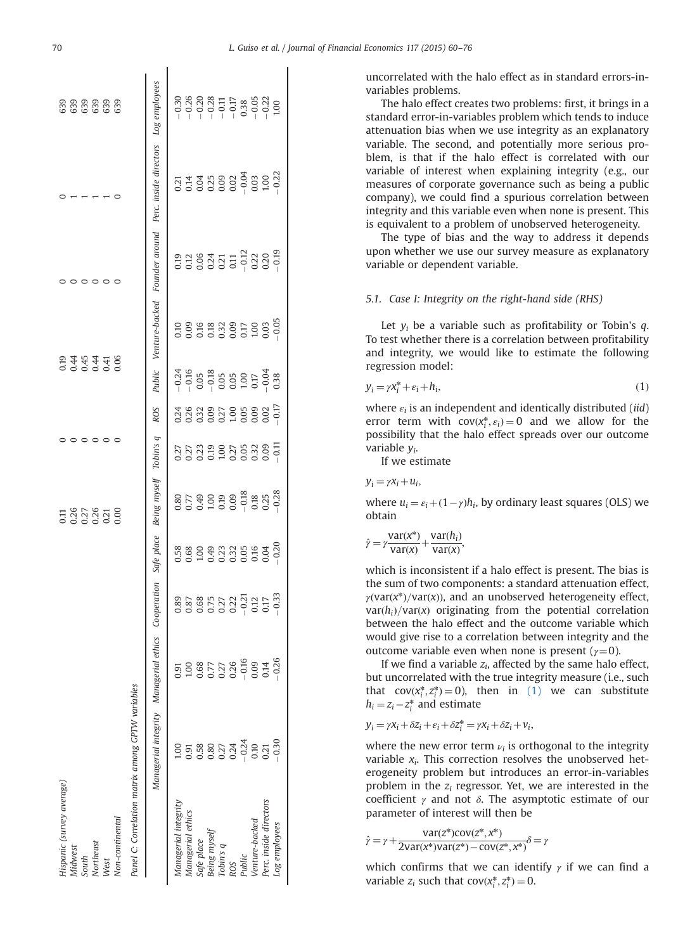| Hispanic (survey average) |                                                  |              |                                                                                                                             |            |                                                                              |                            |            |                                                                                                             |                                                                              |                                                                   |                                                                           |                                                                                                                                                                                                                                                                                                                                                   |  |
|---------------------------|--------------------------------------------------|--------------|-----------------------------------------------------------------------------------------------------------------------------|------------|------------------------------------------------------------------------------|----------------------------|------------|-------------------------------------------------------------------------------------------------------------|------------------------------------------------------------------------------|-------------------------------------------------------------------|---------------------------------------------------------------------------|---------------------------------------------------------------------------------------------------------------------------------------------------------------------------------------------------------------------------------------------------------------------------------------------------------------------------------------------------|--|
| Midwest                   |                                                  |              |                                                                                                                             |            |                                                                              |                            |            |                                                                                                             |                                                                              |                                                                   |                                                                           |                                                                                                                                                                                                                                                                                                                                                   |  |
| South                     |                                                  |              |                                                                                                                             |            |                                                                              |                            |            |                                                                                                             |                                                                              |                                                                   |                                                                           |                                                                                                                                                                                                                                                                                                                                                   |  |
| Northeast                 |                                                  |              |                                                                                                                             |            |                                                                              |                            |            |                                                                                                             |                                                                              |                                                                   |                                                                           |                                                                                                                                                                                                                                                                                                                                                   |  |
| West                      |                                                  |              |                                                                                                                             |            |                                                                              |                            |            | 0 3 4 4 4 5<br>0 5 4 4 4 5<br>0 6 6 7 5 6                                                                   |                                                                              |                                                                   |                                                                           | 888888                                                                                                                                                                                                                                                                                                                                            |  |
| Non-continental           |                                                  |              |                                                                                                                             |            |                                                                              |                            |            |                                                                                                             |                                                                              |                                                                   |                                                                           |                                                                                                                                                                                                                                                                                                                                                   |  |
|                           | Panel C: Correlation matrix among GPTW variables |              |                                                                                                                             |            |                                                                              |                            |            |                                                                                                             |                                                                              |                                                                   |                                                                           |                                                                                                                                                                                                                                                                                                                                                   |  |
|                           | Managerial integrity Managerial ethics           |              | coperation                                                                                                                  | Safe place | Being myself                                                                 | Tobin's q                  | <b>ROS</b> |                                                                                                             |                                                                              |                                                                   | Public Venture-backed Founder around Perc. inside directors Log employees |                                                                                                                                                                                                                                                                                                                                                   |  |
| Managerial integrity      |                                                  | 5<br>0.      |                                                                                                                             |            |                                                                              |                            |            |                                                                                                             |                                                                              |                                                                   |                                                                           |                                                                                                                                                                                                                                                                                                                                                   |  |
| Managerial ethics         | $-0.91$                                          | Ξ            |                                                                                                                             |            |                                                                              |                            |            |                                                                                                             |                                                                              |                                                                   |                                                                           |                                                                                                                                                                                                                                                                                                                                                   |  |
| Safe place                | 0.58                                             | 0.68         |                                                                                                                             |            |                                                                              |                            |            |                                                                                                             |                                                                              |                                                                   |                                                                           |                                                                                                                                                                                                                                                                                                                                                   |  |
| Being myself              | 0.80                                             | 0.77         |                                                                                                                             |            |                                                                              |                            |            |                                                                                                             |                                                                              |                                                                   |                                                                           |                                                                                                                                                                                                                                                                                                                                                   |  |
| Tobin's q                 | 0.27<br>0.24                                     | 0.27<br>0.26 | $\begin{array}{l} 0.89 \\ 0.87 \\ 0.68 \\ 0.69 \\ 0.72 \\ 0.21 \\ 0.21 \\ 0.21 \\ 0.22 \\ 0.53 \\ 0.31 \\ 0.33 \end{array}$ |            | $0.80$<br>$0.77$<br>$0.49$<br>$0.19$<br>$0.19$<br>$0.38$<br>$0.23$<br>$0.23$ | 27<br>27 28 29 27 28 29 29 |            | $-0.24$<br>$-0.05$<br>$-0.05$<br>$-0.05$<br>$-0.05$<br>$-0.05$<br>$-0.05$<br>$-0.05$<br>$-0.05$<br>$-0.038$ | $13.8$<br>$13.8$<br>$13.8$<br>$13.8$<br>$13.8$<br>$13.8$<br>$13.8$<br>$13.8$ | $\begin{array}{l} 0.2 \\ 0.3 \\ 0.6 \\ 0.3 \\ 0.5 \\ \end{array}$ |                                                                           | $\begin{array}{l} -0.30 \\ -0.28 \\ -0.23 \\ -0.38 \\ -0.75 \\ -0.75 \\ -0.38 \\ -0.33 \\ -0.22 \\ -0.23 \\ -0.24 \\ -0.24 \\ -0.24 \\ -0.24 \\ -0.24 \\ -0.24 \\ -0.24 \\ -0.24 \\ -0.24 \\ -0.24 \\ -0.24 \\ -0.24 \\ -0.24 \\ -0.24 \\ -0.24 \\ -0.24 \\ -0.24 \\ -0.24 \\ -0.24 \\ -0.24 \\ -0.24 \\ -0.24 \\ -0.24 \\ -0.24 \\ -0.24 \\ -0.$ |  |
|                           |                                                  |              |                                                                                                                             |            |                                                                              |                            |            |                                                                                                             |                                                                              |                                                                   |                                                                           |                                                                                                                                                                                                                                                                                                                                                   |  |
| Public                    | $-0.24$                                          | $-0.16$      |                                                                                                                             |            |                                                                              |                            |            |                                                                                                             |                                                                              |                                                                   |                                                                           |                                                                                                                                                                                                                                                                                                                                                   |  |
| Venture-backed            | 0.10                                             | 0.09         |                                                                                                                             |            |                                                                              |                            |            |                                                                                                             |                                                                              |                                                                   |                                                                           |                                                                                                                                                                                                                                                                                                                                                   |  |
| Perc. inside directors    | 0.21                                             |              |                                                                                                                             |            |                                                                              |                            |            |                                                                                                             |                                                                              |                                                                   |                                                                           |                                                                                                                                                                                                                                                                                                                                                   |  |
| Log employees             | $-0.30$                                          | $-0.26$      |                                                                                                                             |            |                                                                              | $-0.11$                    | $-0.17$    |                                                                                                             |                                                                              |                                                                   |                                                                           |                                                                                                                                                                                                                                                                                                                                                   |  |

uncorrelated with the halo effect as in standard errors-invariables problems.

The halo effect creates two problems: first, it brings in a standard error-in-variables problem which tends to induce attenuation bias when we use integrity as an explanatory variable. The second, and potentially more serious problem, is that if the halo effect is correlated with our variable of interest when explaining integrity (e.g., our measures of corporate governance such as being a public company), we could find a spurious correlation between integrity and this variable even when none is present. This is equivalent to a problem of unobserved heterogeneity.

The type of bias and the way to address it depends upon whether we use our survey measure as explanatory variable or dependent variable.

#### 5.1. Case I: Integrity on the right-hand side (RHS)

Let  $y_i$  be a variable such as profitability or Tobin's  $q$ . To test whether there is a correlation between profitability and integrity, we would like to estimate the following regression model:

$$
y_i = \gamma x_i^* + \varepsilon_i + h_i,\tag{1}
$$

where  $\varepsilon_i$  is an independent and identically distributed (iid) error term with  $cov(x_i^*, \varepsilon_i) = 0$  and we allow for the possibility that the halo effect spreads over our outcome variable  $y_i$ .

If we estimate

$$
y_i = \gamma x_i + u_i,
$$

where  $u_i = \varepsilon_i + (1 - \gamma)h_i$ , by ordinary least squares (OLS) we obtain

$$
\hat{\gamma} = \gamma \frac{\text{var}(x^*)}{\text{var}(x)} + \frac{\text{var}(h_i)}{\text{var}(x)},
$$

which is inconsistent if a halo effect is present. The bias is the sum of two components: a standard attenuation effect,  $\gamma$ (var $(x^*)$ /var $(x)$ ), and an unobserved heterogeneity effect,  $var(h_i)/var(x)$  originating from the potential correlation between the halo effect and the outcome variable which would give rise to a correlation between integrity and the outcome variable even when none is present ( $\gamma = 0$ ).

If we find a variable  $z_i$ , affected by the same halo effect, but uncorrelated with the true integrity measure (i.e., such that  $cov(x_i^*, z_i^*) = 0$ , then in (1) we can substitute  $h_i = z_i - z_i^*$  and estimate

$$
y_i = \gamma x_i + \delta z_i + \varepsilon_i + \delta z_i^* = \gamma x_i + \delta z_i + v_i,
$$

where the new error term  $\nu_i$  is orthogonal to the integrity variable  $x_i$ . This correction resolves the unobserved heterogeneity problem but introduces an error-in-variables problem in the  $z_i$  regressor. Yet, we are interested in the coefficient  $\gamma$  and not  $\delta$ . The asymptotic estimate of our parameter of interest will then be

$$
\hat{\gamma} = \gamma + \frac{\text{var}(z^*)\text{cov}(z^*, x^*)}{2\text{var}(x^*)\text{var}(z^*) - \text{cov}(z^*, x^*)}\delta = \gamma
$$

which confirms that we can identify  $\gamma$  if we can find a variable  $z_i$  such that  $cov(x_i^*, z_i^*) = 0$ .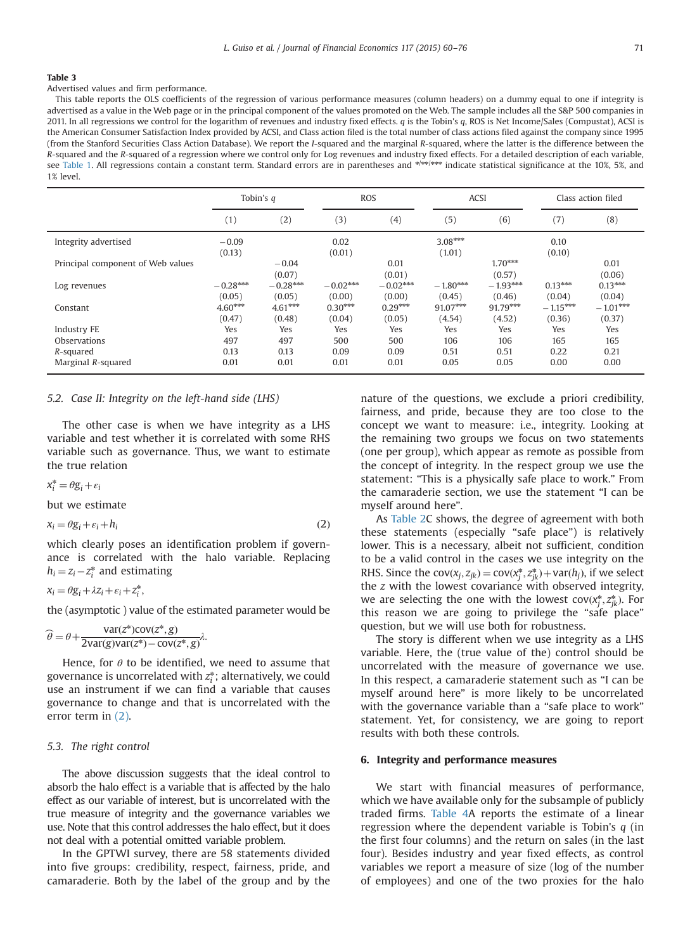<span id="page-11-0"></span>Advertised values and firm performance.

This table reports the OLS coefficients of the regression of various performance measures (column headers) on a dummy equal to one if integrity is advertised as a value in the Web page or in the principal component of the values promoted on the Web. The sample includes all the S&P 500 companies in 2011. In all regressions we control for the logarithm of revenues and industry fixed effects. *q* is the Tobin's *q*, ROS is Net Income/Sales (Compustat), ACSI is the American Consumer Satisfaction Index provided by ACSI, and Class action filed is the total number of class actions filed against the company since 1995 (from the Stanford Securities Class Action Database). We report the I-squared and the marginal R-squared, where the latter is the difference between the R-squared and the R-squared of a regression where we control only for Log revenues and industry fixed effects. For a detailed description of each variable, see [Table 1](#page-6-0). All regressions contain a constant term. Standard errors are in parentheses and \*/\*\*/\*\*\*\* indicate statistical significance at the 10%, 5%, and 1% level.

|                                   | Tobin's $q$          |                      | <b>ROS</b>           |                      | <b>ACSI</b>          |                      |                      | Class action filed   |
|-----------------------------------|----------------------|----------------------|----------------------|----------------------|----------------------|----------------------|----------------------|----------------------|
|                                   | (1)                  | (2)                  | (3)                  | (4)                  | (5)                  | (6)                  | (7)                  | (8)                  |
| Integrity advertised              | $-0.09$<br>(0.13)    |                      | 0.02<br>(0.01)       |                      | $3.08***$<br>(1.01)  |                      | 0.10<br>(0.10)       |                      |
| Principal component of Web values |                      | $-0.04$<br>(0.07)    |                      | 0.01<br>(0.01)       |                      | $1.70***$<br>(0.57)  |                      | 0.01<br>(0.06)       |
| Log revenues                      | $-0.28***$<br>(0.05) | $-0.28***$<br>(0.05) | $-0.02***$<br>(0.00) | $-0.02***$<br>(0.00) | $-1.80***$<br>(0.45) | $-1.93***$<br>(0.46) | $0.13***$<br>(0.04)  | $0.13***$<br>(0.04)  |
| Constant                          | 4.60***<br>(0.47)    | $4.61***$<br>(0.48)  | $0.30***$<br>(0.04)  | $0.29***$<br>(0.05)  | $91.07***$<br>(4.54) | $91.79***$<br>(4.52) | $-1.15***$<br>(0.36) | $-1.01***$<br>(0.37) |
| Industry FE                       | Yes                  | Yes                  | Yes                  | Yes                  | Yes                  | Yes                  | Yes                  | Yes                  |
| Observations                      | 497                  | 497                  | 500                  | 500                  | 106                  | 106                  | 165                  | 165                  |
| R-squared                         | 0.13                 | 0.13                 | 0.09                 | 0.09                 | 0.51                 | 0.51                 | 0.22                 | 0.21                 |
| Marginal R-squared                | 0.01                 | 0.01                 | 0.01                 | 0.01                 | 0.05                 | 0.05                 | 0.00                 | 0.00                 |

#### 5.2. Case II: Integrity on the left-hand side (LHS)

The other case is when we have integrity as a LHS variable and test whether it is correlated with some RHS variable such as governance. Thus, we want to estimate the true relation

 $x_i^* = \theta g_i + \varepsilon_i$ 

but we estimate

 $x_i = \theta g_i + \varepsilon_i + h_i$  (2)

which clearly poses an identification problem if governance is correlated with the halo variable. Replacing  $h_i = z_i - z_i^*$  and estimating

$$
x_i = \theta g_i + \lambda z_i + \varepsilon_i + z_i^*,
$$

the (asymptotic ) value of the estimated parameter would be

$$
\widehat{\theta} = \theta + \frac{\text{var}(z^*)\text{cov}(z^*, g)}{2\text{var}(g)\text{var}(z^*) - \text{cov}(z^*, g)}\lambda.
$$

Hence, for  $\theta$  to be identified, we need to assume that governance is uncorrelated with  $z_i^\ast$ ; alternatively, we could use an instrument if we can find a variable that causes governance to change and that is uncorrelated with the error term in (2).

### 5.3. The right control

The above discussion suggests that the ideal control to absorb the halo effect is a variable that is affected by the halo effect as our variable of interest, but is uncorrelated with the true measure of integrity and the governance variables we use. Note that this control addresses the halo effect, but it does not deal with a potential omitted variable problem.

In the GPTWI survey, there are 58 statements divided into five groups: credibility, respect, fairness, pride, and camaraderie. Both by the label of the group and by the

nature of the questions, we exclude a priori credibility, fairness, and pride, because they are too close to the concept we want to measure: i.e., integrity. Looking at the remaining two groups we focus on two statements (one per group), which appear as remote as possible from the concept of integrity. In the respect group we use the statement: "This is a physically safe place to work." From the camaraderie section, we use the statement "I can be myself around here".

As [Table 2C](#page-9-0) shows, the degree of agreement with both these statements (especially "safe place") is relatively lower. This is a necessary, albeit not sufficient, condition to be a valid control in the cases we use integrity on the RHS. Since the  $cov(x_j, z_{jk}) = cov(x_j^*, z_{jk}^*) + var(h_j)$ , if we select the z with the lowest covariance with observed integrity, we are selecting the one with the lowest  $cov(x_j^*, z_{jk}^*)$ . For this reason we are going to privilege the "safe place" question, but we will use both for robustness.

The story is different when we use integrity as a LHS variable. Here, the (true value of the) control should be uncorrelated with the measure of governance we use. In this respect, a camaraderie statement such as "I can be myself around here" is more likely to be uncorrelated with the governance variable than a "safe place to work" statement. Yet, for consistency, we are going to report results with both these controls.

#### 6. Integrity and performance measures

We start with financial measures of performance, which we have available only for the subsample of publicly traded firms. [Table 4A](#page-12-0) reports the estimate of a linear regression where the dependent variable is Tobin's  $q$  (in the first four columns) and the return on sales (in the last four). Besides industry and year fixed effects, as control variables we report a measure of size (log of the number of employees) and one of the two proxies for the halo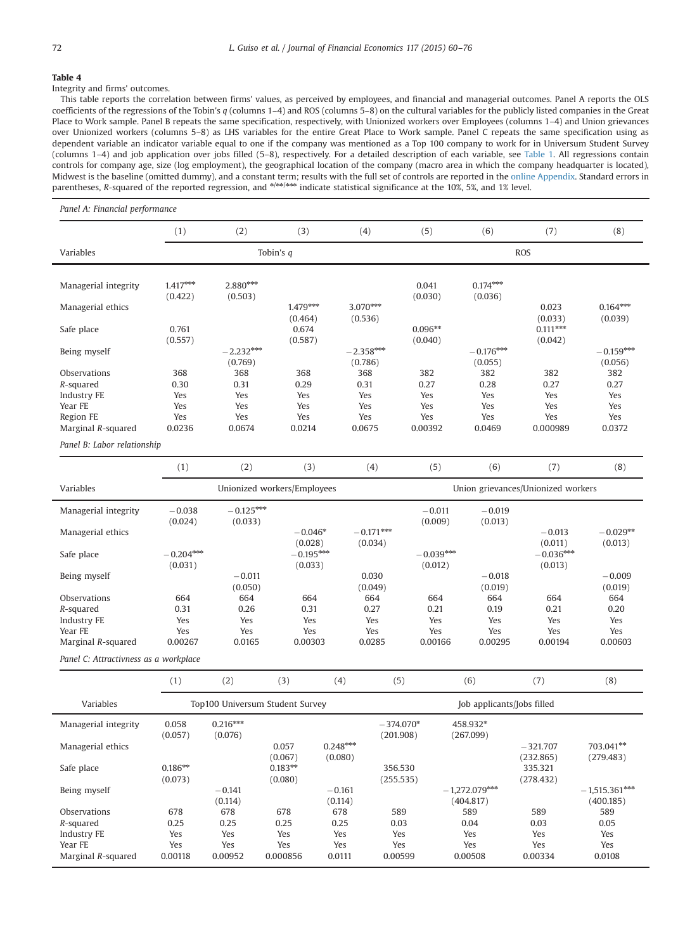<span id="page-12-0"></span>Integrity and firms' outcomes.

This table reports the correlation between firms' values, as perceived by employees, and financial and managerial outcomes. Panel A reports the OLS coefficients of the regressions of the Tobin's q (columns 1–4) and ROS (columns 5–8) on the cultural variables for the publicly listed companies in the Great Place to Work sample. Panel B repeats the same specification, respectively, with Unionized workers over Employees (columns 1–4) and Union grievances over Unionized workers (columns 5–8) as LHS variables for the entire Great Place to Work sample. Panel C repeats the same specification using as dependent variable an indicator variable equal to one if the company was mentioned as a Top 100 company to work for in Universum Student Survey (columns 1–4) and job application over jobs filled (5–8), respectively. For a detailed description of each variable, see [Table 1](#page-6-0). All regressions contain controls for company age, size (log employment), the geographical location of the company (macro area in which the company headquarter is located), Midwest is the baseline (omitted dummy), and a constant term; results with the full set of controls are reported in the [online Appendix](#page-15-0). Standard errors in parentheses. R-squared of the reported regression, and \*/\*\*/\*\*\* indicate statistical significance at the 10%, 5%, and 1% level.

| Panel A: Financial performance           |                                                                   |                        |                        |                        |                        |                        |                        |                        |
|------------------------------------------|-------------------------------------------------------------------|------------------------|------------------------|------------------------|------------------------|------------------------|------------------------|------------------------|
|                                          | (1)                                                               | (2)                    | (3)                    | (4)                    | (5)                    | (6)                    | (7)                    | (8)                    |
| Variables                                |                                                                   |                        | Tobin's $q$            |                        |                        |                        | ROS                    |                        |
| Managerial integrity                     | $1.417***$<br>(0.422)                                             | 2.880***<br>(0.503)    |                        |                        | 0.041<br>(0.030)       | $0.174***$<br>(0.036)  |                        |                        |
| Managerial ethics                        |                                                                   |                        | $1.479***$<br>(0.464)  | 3.070***<br>(0.536)    |                        |                        | 0.023<br>(0.033)       | $0.164***$<br>(0.039)  |
| Safe place                               | 0.761<br>(0.557)                                                  |                        | 0.674<br>(0.587)       |                        | $0.096**$<br>(0.040)   |                        | $0.111***$<br>(0.042)  |                        |
| Being myself                             |                                                                   | $-2.232***$<br>(0.769) |                        | $-2.358***$<br>(0.786) |                        | $-0.176***$<br>(0.055) |                        | $-0.159***$<br>(0.056) |
| Observations<br>R-squared                | 368<br>0.30                                                       | 368<br>0.31            | 368<br>0.29            | 368<br>0.31            | 382<br>0.27            | 382<br>0.28            | 382<br>0.27            | 382<br>0.27            |
| Industry FE<br>Year FE<br>Region FE      | Yes<br>Yes<br>Yes                                                 | Yes<br>Yes<br>Yes      | Yes<br>Yes<br>Yes      | Yes<br>Yes<br>Yes      | Yes<br>Yes<br>Yes      | Yes<br>Yes<br>Yes      | Yes<br>Yes<br>Yes      | Yes<br>Yes<br>Yes      |
| Marginal R-squared                       | 0.0236                                                            | 0.0674                 | 0.0214                 | 0.0675                 | 0.00392                | 0.0469                 | 0.000989               | 0.0372                 |
| Panel B: Labor relationship              |                                                                   |                        |                        |                        |                        |                        |                        |                        |
|                                          | (1)                                                               | (2)                    | (3)                    | (4)                    | (5)                    | (6)                    | (7)                    | (8)                    |
| Variables                                | Unionized workers/Employees<br>Union grievances/Unionized workers |                        |                        |                        |                        |                        |                        |                        |
| Managerial integrity                     | $-0.038$<br>(0.024)                                               | $-0.125***$<br>(0.033) |                        |                        | $-0.011$<br>(0.009)    | $-0.019$<br>(0.013)    |                        |                        |
| Managerial ethics                        |                                                                   |                        | $-0.046*$<br>(0.028)   | $-0.171***$<br>(0.034) |                        |                        | $-0.013$<br>(0.011)    | $-0.029***$<br>(0.013) |
| Safe place                               | $-0.204***$<br>(0.031)                                            |                        | $-0.195***$<br>(0.033) |                        | $-0.039***$<br>(0.012) |                        | $-0.036***$<br>(0.013) |                        |
| Being myself                             |                                                                   | $-0.011$<br>(0.050)    |                        | 0.030<br>(0.049)       |                        | $-0.018$<br>(0.019)    |                        | $-0.009$<br>(0.019)    |
| Observations<br>R-squared<br>Industry FE | 664<br>0.31<br>Yes                                                | 664<br>0.26<br>Yes     | 664<br>0.31<br>Yes     | 664<br>0.27<br>Yes     | 664<br>0.21<br>Yes     | 664<br>0.19<br>Yes     | 664<br>0.21<br>Yes     | 664<br>0.20<br>Yes     |
| Year FE<br>Marginal R-squared            | Yes<br>0.00267                                                    | Yes<br>0.0165          | Yes<br>0.00303         | Yes<br>0.0285          | Yes<br>0.00166         | Yes<br>0.00295         | Yes<br>0.00194         | Yes<br>0.00603         |
| Panel C: Attractivness as a workplace    |                                                                   |                        |                        |                        |                        |                        |                        |                        |
|                                          | (1)                                                               | (2)                    | (3)                    | (4)<br>(5)             |                        | (6)                    | (7)                    | (8)                    |

| Variables            |                  |                       | Top100 Universum Student Survey |            |                          | Job applicants/Jobs filled |            |                 |
|----------------------|------------------|-----------------------|---------------------------------|------------|--------------------------|----------------------------|------------|-----------------|
| Managerial integrity | 0.058<br>(0.057) | $0.216***$<br>(0.076) |                                 |            | $-374.070*$<br>(201.908) | 458.932*<br>(267.099)      |            |                 |
| Managerial ethics    |                  |                       | 0.057                           | $0.248***$ |                          |                            | $-321.707$ | 703.041**       |
|                      |                  |                       | (0.067)                         | (0.080)    |                          |                            | (232.865)  | (279.483)       |
| Safe place           | $0.186***$       |                       | $0.183***$                      |            | 356.530                  |                            | 335.321    |                 |
|                      | (0.073)          |                       | (0.080)                         |            | (255.535)                |                            | (278.432)  |                 |
| Being myself         |                  | $-0.141$              |                                 | $-0.161$   |                          | $-1,272.079***$            |            | $-1,515.361***$ |
|                      |                  | (0.114)               |                                 | (0.114)    |                          | (404.817)                  |            | (400.185)       |
| Observations         | 678              | 678                   | 678                             | 678        | 589                      | 589                        | 589        | 589             |
| R-squared            | 0.25             | 0.25                  | 0.25                            | 0.25       | 0.03                     | 0.04                       | 0.03       | 0.05            |
| Industry FE          | Yes              | Yes                   | Yes                             | Yes        | Yes                      | Yes                        | Yes        | Yes             |
| Year FE              | Yes              | Yes                   | Yes                             | Yes        | Yes                      | Yes                        | Yes        | Yes             |
| Marginal R-squared   | 0.00118          | 0.00952               | 0.000856                        | 0.0111     | 0.00599                  | 0.00508                    | 0.00334    | 0.0108          |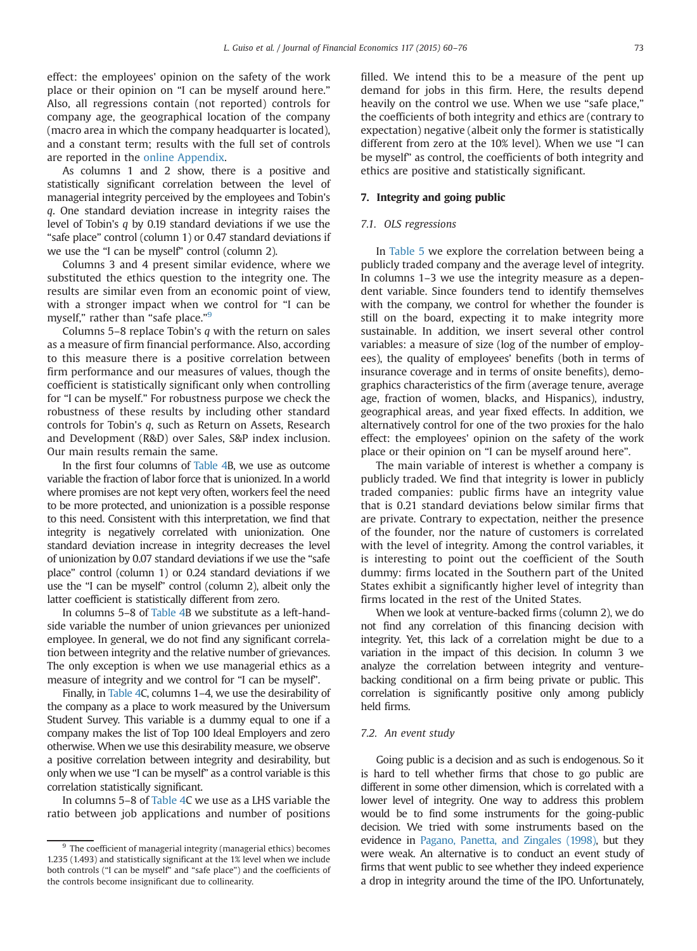<span id="page-13-0"></span>effect: the employees' opinion on the safety of the work place or their opinion on "I can be myself around here." Also, all regressions contain (not reported) controls for company age, the geographical location of the company (macro area in which the company headquarter is located), and a constant term; results with the full set of controls are reported in the [online Appendix](#page-15-0).

As columns 1 and 2 show, there is a positive and statistically significant correlation between the level of managerial integrity perceived by the employees and Tobin's q. One standard deviation increase in integrity raises the level of Tobin's q by 0.19 standard deviations if we use the "safe place" control (column 1) or 0.47 standard deviations if we use the "I can be myself" control (column 2).

Columns 3 and 4 present similar evidence, where we substituted the ethics question to the integrity one. The results are similar even from an economic point of view, with a stronger impact when we control for "I can be myself," rather than "safe place."<sup>9</sup>

Columns 5–8 replace Tobin's q with the return on sales as a measure of firm financial performance. Also, according to this measure there is a positive correlation between firm performance and our measures of values, though the coefficient is statistically significant only when controlling for "I can be myself." For robustness purpose we check the robustness of these results by including other standard controls for Tobin's q, such as Return on Assets, Research and Development (R&D) over Sales, S&P index inclusion. Our main results remain the same.

In the first four columns of [Table 4B](#page-12-0), we use as outcome variable the fraction of labor force that is unionized. In a world where promises are not kept very often, workers feel the need to be more protected, and unionization is a possible response to this need. Consistent with this interpretation, we find that integrity is negatively correlated with unionization. One standard deviation increase in integrity decreases the level of unionization by 0.07 standard deviations if we use the "safe place" control (column 1) or 0.24 standard deviations if we use the "I can be myself" control (column 2), albeit only the latter coefficient is statistically different from zero.

In columns 5–8 of [Table 4B](#page-12-0) we substitute as a left-handside variable the number of union grievances per unionized employee. In general, we do not find any significant correlation between integrity and the relative number of grievances. The only exception is when we use managerial ethics as a measure of integrity and we control for "I can be myself".

Finally, in [Table 4](#page-12-0)C, columns 1–4, we use the desirability of the company as a place to work measured by the Universum Student Survey. This variable is a dummy equal to one if a company makes the list of Top 100 Ideal Employers and zero otherwise. When we use this desirability measure, we observe a positive correlation between integrity and desirability, but only when we use "I can be myself" as a control variable is this correlation statistically significant.

In columns 5–8 of [Table 4](#page-12-0)C we use as a LHS variable the ratio between job applications and number of positions filled. We intend this to be a measure of the pent up demand for jobs in this firm. Here, the results depend heavily on the control we use. When we use "safe place," the coefficients of both integrity and ethics are (contrary to expectation) negative (albeit only the former is statistically different from zero at the 10% level). When we use "I can be myself" as control, the coefficients of both integrity and ethics are positive and statistically significant.

## 7. Integrity and going public

## 7.1. OLS regressions

In [Table 5](#page-14-0) we explore the correlation between being a publicly traded company and the average level of integrity. In columns 1–3 we use the integrity measure as a dependent variable. Since founders tend to identify themselves with the company, we control for whether the founder is still on the board, expecting it to make integrity more sustainable. In addition, we insert several other control variables: a measure of size (log of the number of employees), the quality of employees' benefits (both in terms of insurance coverage and in terms of onsite benefits), demographics characteristics of the firm (average tenure, average age, fraction of women, blacks, and Hispanics), industry, geographical areas, and year fixed effects. In addition, we alternatively control for one of the two proxies for the halo effect: the employees' opinion on the safety of the work place or their opinion on "I can be myself around here".

The main variable of interest is whether a company is publicly traded. We find that integrity is lower in publicly traded companies: public firms have an integrity value that is 0.21 standard deviations below similar firms that are private. Contrary to expectation, neither the presence of the founder, nor the nature of customers is correlated with the level of integrity. Among the control variables, it is interesting to point out the coefficient of the South dummy: firms located in the Southern part of the United States exhibit a significantly higher level of integrity than firms located in the rest of the United States.

When we look at venture-backed firms (column 2), we do not find any correlation of this financing decision with integrity. Yet, this lack of a correlation might be due to a variation in the impact of this decision. In column 3 we analyze the correlation between integrity and venturebacking conditional on a firm being private or public. This correlation is significantly positive only among publicly held firms.

#### 7.2. An event study

Going public is a decision and as such is endogenous. So it is hard to tell whether firms that chose to go public are different in some other dimension, which is correlated with a lower level of integrity. One way to address this problem would be to find some instruments for the going-public decision. We tried with some instruments based on the evidence in [Pagano, Panetta, and Zingales \(1998\),](#page-16-0) but they were weak. An alternative is to conduct an event study of firms that went public to see whether they indeed experience a drop in integrity around the time of the IPO. Unfortunately,

<sup>&</sup>lt;sup>9</sup> The coefficient of managerial integrity (managerial ethics) becomes 1.235 (1.493) and statistically significant at the 1% level when we include both controls ("I can be myself" and "safe place") and the coefficients of the controls become insignificant due to collinearity.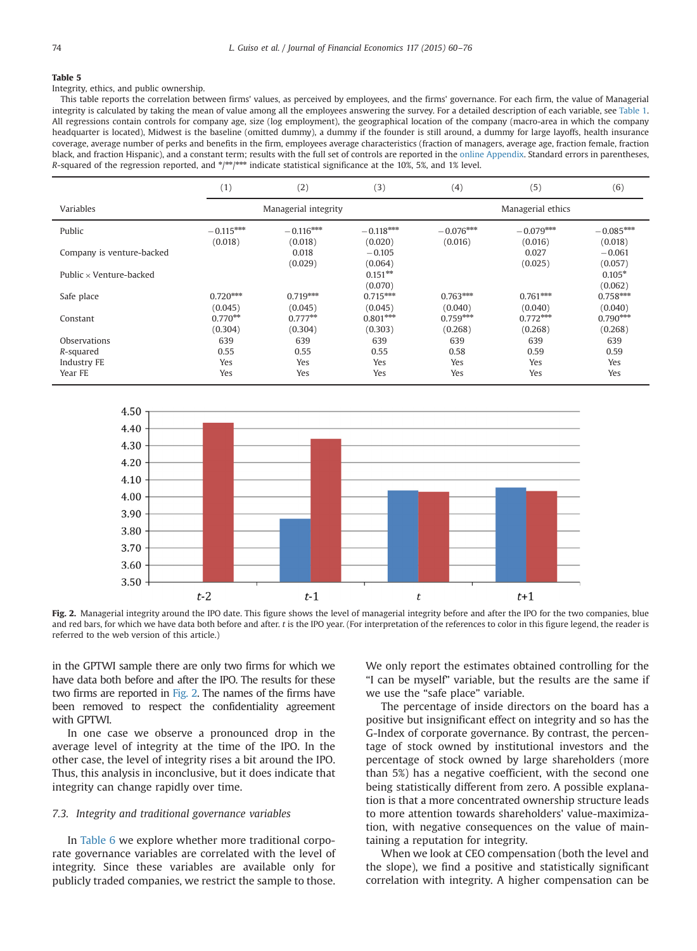<span id="page-14-0"></span>Integrity, ethics, and public ownership.

This table reports the correlation between firms' values, as perceived by employees, and the firms' governance. For each firm, the value of Managerial integrity is calculated by taking the mean of value among all the employees answering the survey. For a detailed description of each variable, see [Table 1.](#page-6-0) All regressions contain controls for company age, size (log employment), the geographical location of the company (macro-area in which the company headquarter is located), Midwest is the baseline (omitted dummy), a dummy if the founder is still around, a dummy for large layoffs, health insurance coverage, average number of perks and benefits in the firm, employees average characteristics (fraction of managers, average age, fraction female, fraction black, and fraction Hispanic), and a constant term; results with the full set of controls are reported in the [online Appendix](#page-15-0). Standard errors in parentheses, R-squared of the regression reported, and \*/\*\*/\*\*\* indicate statistical significance at the 10%, 5%, and 1% level.

|                                | (1)                    | (2)                    | (3)                    | (4)                    | (5)                    | (6)                    |
|--------------------------------|------------------------|------------------------|------------------------|------------------------|------------------------|------------------------|
| Variables                      |                        | Managerial integrity   |                        |                        | Managerial ethics      |                        |
| Public                         | $-0.115***$<br>(0.018) | $-0.116***$<br>(0.018) | $-0.118***$<br>(0.020) | $-0.076***$<br>(0.016) | $-0.079***$<br>(0.016) | $-0.085***$<br>(0.018) |
| Company is venture-backed      |                        | 0.018<br>(0.029)       | $-0.105$<br>(0.064)    |                        | 0.027<br>(0.025)       | $-0.061$<br>(0.057)    |
| Public $\times$ Venture-backed |                        |                        | $0.151***$<br>(0.070)  |                        |                        | $0.105*$<br>(0.062)    |
| Safe place                     | $0.720***$<br>(0.045)  | $0.719***$<br>(0.045)  | $0.715***$<br>(0.045)  | $0.763***$<br>(0.040)  | $0.761***$<br>(0.040)  | $0.758***$<br>(0.040)  |
| Constant                       | $0.770***$<br>(0.304)  | $0.777**$<br>(0.304)   | $0.801***$<br>(0.303)  | $0.759***$<br>(0.268)  | $0.772***$<br>(0.268)  | $0.790***$<br>(0.268)  |
| <b>Observations</b>            | 639                    | 639                    | 639                    | 639                    | 639                    | 639                    |
| R-squared                      | 0.55                   | 0.55                   | 0.55                   | 0.58                   | 0.59                   | 0.59                   |
| Industry FE                    | Yes                    | Yes                    | Yes                    | Yes                    | Yes                    | Yes                    |
| Year FE                        | Yes                    | Yes                    | Yes                    | Yes                    | Yes                    | Yes                    |



Fig. 2. Managerial integrity around the IPO date. This figure shows the level of managerial integrity before and after the IPO for the two companies, blue and red bars, for which we have data both before and after. t is the IPO year. (For interpretation of the references to color in this figure legend, the reader is referred to the web version of this article.)

in the GPTWI sample there are only two firms for which we have data both before and after the IPO. The results for these two firms are reported in Fig. 2. The names of the firms have been removed to respect the confidentiality agreement with GPTWI.

In one case we observe a pronounced drop in the average level of integrity at the time of the IPO. In the other case, the level of integrity rises a bit around the IPO. Thus, this analysis in inconclusive, but it does indicate that integrity can change rapidly over time.

#### 7.3. Integrity and traditional governance variables

In [Table 6](#page-15-0) we explore whether more traditional corporate governance variables are correlated with the level of integrity. Since these variables are available only for publicly traded companies, we restrict the sample to those. We only report the estimates obtained controlling for the "I can be myself" variable, but the results are the same if we use the "safe place" variable.

The percentage of inside directors on the board has a positive but insignificant effect on integrity and so has the G-Index of corporate governance. By contrast, the percentage of stock owned by institutional investors and the percentage of stock owned by large shareholders (more than 5%) has a negative coefficient, with the second one being statistically different from zero. A possible explanation is that a more concentrated ownership structure leads to more attention towards shareholders' value-maximization, with negative consequences on the value of maintaining a reputation for integrity.

When we look at CEO compensation (both the level and the slope), we find a positive and statistically significant correlation with integrity. A higher compensation can be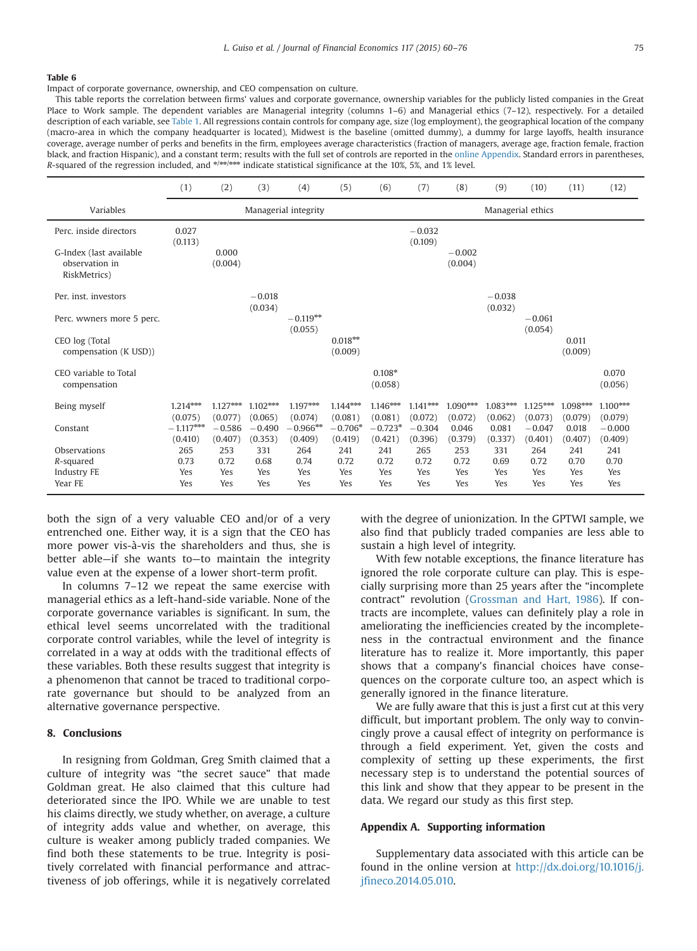<span id="page-15-0"></span>Impact of corporate governance, ownership, and CEO compensation on culture.

This table reports the correlation between firms' values and corporate governance, ownership variables for the publicly listed companies in the Great Place to Work sample. The dependent variables are Managerial integrity (columns 1–6) and Managerial ethics (7–12), respectively. For a detailed description of each variable, see [Table 1.](#page-6-0) All regressions contain controls for company age, size (log employment), the geographical location of the company (macro-area in which the company headquarter is located), Midwest is the baseline (omitted dummy), a dummy for large layoffs, health insurance coverage, average number of perks and benefits in the firm, employees average characteristics (fraction of managers, average age, fraction female, fraction black, and fraction Hispanic), and a constant term; results with the full set of controls are reported in the online Appendix. Standard errors in parentheses, R-squared of the regression included, and \*/\*\*/\*\*\* indicate statistical significance at the 10%, 5%, and 1% level.

|                                                           | (1)                    | (2)                   | (3)                   | (4)                    | (5)                   | (6)                   | (7)                   | (8)                 | (9)                   | (10)                  | (11)                | (12)                  |
|-----------------------------------------------------------|------------------------|-----------------------|-----------------------|------------------------|-----------------------|-----------------------|-----------------------|---------------------|-----------------------|-----------------------|---------------------|-----------------------|
| Variables                                                 |                        |                       |                       | Managerial integrity   |                       |                       |                       |                     | Managerial ethics     |                       |                     |                       |
| Perc. inside directors                                    | 0.027<br>(0.113)       |                       |                       |                        |                       |                       | $-0.032$<br>(0.109)   |                     |                       |                       |                     |                       |
| G-Index (last available<br>observation in<br>RiskMetrics) |                        | 0.000<br>(0.004)      |                       |                        |                       |                       |                       | $-0.002$<br>(0.004) |                       |                       |                     |                       |
| Per. inst. investors                                      |                        |                       | $-0.018$<br>(0.034)   |                        |                       |                       |                       |                     | $-0.038$<br>(0.032)   |                       |                     |                       |
| Perc. wwners more 5 perc.                                 |                        |                       |                       | $-0.119***$<br>(0.055) |                       |                       |                       |                     |                       | $-0.061$<br>(0.054)   |                     |                       |
| CEO log (Total<br>compensation (K USD))                   |                        |                       |                       |                        | $0.018***$<br>(0.009) |                       |                       |                     |                       |                       | 0.011<br>(0.009)    |                       |
| CEO variable to Total<br>compensation                     |                        |                       |                       |                        |                       | $0.108*$<br>(0.058)   |                       |                     |                       |                       |                     | 0.070<br>(0.056)      |
| Being myself                                              | $1.214***$<br>(0.075)  | $1.127***$<br>(0.077) | $1.102***$<br>(0.065) | 1.197***<br>(0.074)    | $1.144***$<br>(0.081) | $1.146***$<br>(0.081) | $1.141***$<br>(0.072) | 1.090***<br>(0.072) | $1.083***$<br>(0.062) | $1.125***$<br>(0.073) | 1.098***<br>(0.079) | $1.100***$<br>(0.079) |
| Constant                                                  | $-1.117***$<br>(0.410) | $-0.586$<br>(0.407)   | $-0.490$<br>(0.353)   | $-0.966***$<br>(0.409) | $-0.706*$<br>(0.419)  | $-0.723*$<br>(0.421)  | $-0.304$<br>(0.396)   | 0.046<br>(0.379)    | 0.081<br>(0.337)      | $-0.047$<br>(0.401)   | 0.018<br>(0.407)    | $-0.000$<br>(0.409)   |
| Observations                                              | 265                    | 253                   | 331                   | 264                    | 241                   | 241                   | 265                   | 253                 | 331                   | 264                   | 241                 | 241                   |
| R-squared                                                 | 0.73                   | 0.72                  | 0.68                  | 0.74                   | 0.72                  | 0.72                  | 0.72                  | 0.72                | 0.69                  | 0.72                  | 0.70                | 0.70                  |
| Industry FE                                               | Yes                    | Yes                   | Yes                   | Yes                    | Yes                   | Yes                   | Yes                   | Yes                 | Yes                   | Yes                   | Yes                 | Yes                   |
| Year FE                                                   | Yes                    | Yes                   | Yes                   | Yes                    | Yes                   | Yes                   | Yes                   | Yes                 | Yes                   | Yes                   | Yes                 | Yes                   |

both the sign of a very valuable CEO and/or of a very entrenched one. Either way, it is a sign that the CEO has more power vis-à-vis the shareholders and thus, she is better able—if she wants to—to maintain the integrity value even at the expense of a lower short-term profit.

In columns 7–12 we repeat the same exercise with managerial ethics as a left-hand-side variable. None of the corporate governance variables is significant. In sum, the ethical level seems uncorrelated with the traditional corporate control variables, while the level of integrity is correlated in a way at odds with the traditional effects of these variables. Both these results suggest that integrity is a phenomenon that cannot be traced to traditional corporate governance but should to be analyzed from an alternative governance perspective.

## 8. Conclusions

In resigning from Goldman, Greg Smith claimed that a culture of integrity was "the secret sauce" that made Goldman great. He also claimed that this culture had deteriorated since the IPO. While we are unable to test his claims directly, we study whether, on average, a culture of integrity adds value and whether, on average, this culture is weaker among publicly traded companies. We find both these statements to be true. Integrity is positively correlated with financial performance and attractiveness of job offerings, while it is negatively correlated with the degree of unionization. In the GPTWI sample, we also find that publicly traded companies are less able to sustain a high level of integrity.

With few notable exceptions, the finance literature has ignored the role corporate culture can play. This is especially surprising more than 25 years after the "incomplete contract" revolution ([Grossman and Hart, 1986\)](#page-16-0). If contracts are incomplete, values can definitely play a role in ameliorating the inefficiencies created by the incompleteness in the contractual environment and the finance literature has to realize it. More importantly, this paper shows that a company's financial choices have consequences on the corporate culture too, an aspect which is generally ignored in the finance literature.

We are fully aware that this is just a first cut at this very difficult, but important problem. The only way to convincingly prove a causal effect of integrity on performance is through a field experiment. Yet, given the costs and complexity of setting up these experiments, the first necessary step is to understand the potential sources of this link and show that they appear to be present in the data. We regard our study as this first step.

#### Appendix A. Supporting information

Supplementary data associated with this article can be found in the online version at [http://dx.doi.org/10.1016/j.](http://dx.doi.org/10.1016/j.jfineco.2014.05.010) [jfineco.2014.05.010](http://dx.doi.org/10.1016/j.jfineco.2014.05.010).